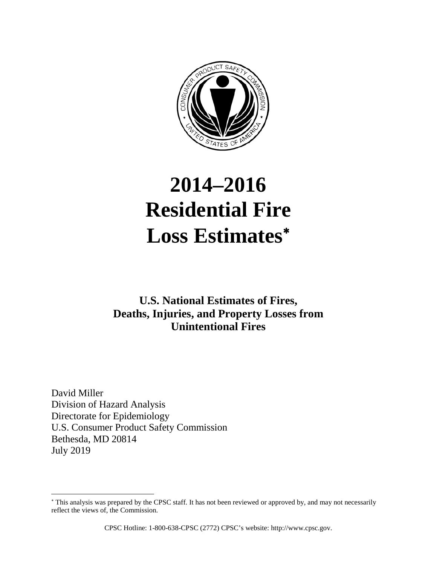

# **2014–2016 Residential Fire Loss Estimates**<sup>∗</sup>

# **U.S. National Estimates of Fires, Deaths, Injuries, and Property Losses from Unintentional Fires**

David Miller Division of Hazard Analysis Directorate for Epidemiology U.S. Consumer Product Safety Commission Bethesda, MD 20814 July 2019

 $\overline{a}$ 

<sup>∗</sup> This analysis was prepared by the CPSC staff. It has not been reviewed or approved by, and may not necessarily reflect the views of, the Commission.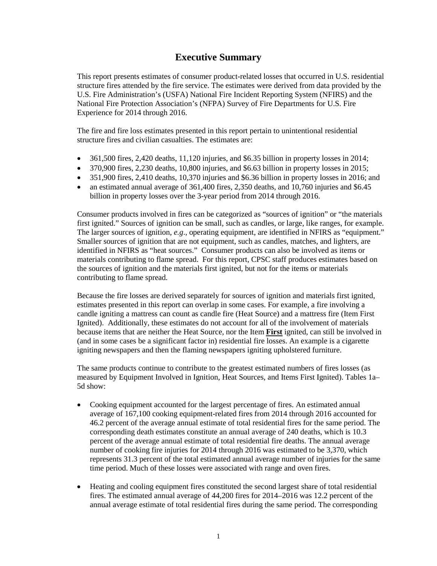# **Executive Summary**

This report presents estimates of consumer product-related losses that occurred in U.S. residential structure fires attended by the fire service. The estimates were derived from data provided by the U.S. Fire Administration's (USFA) National Fire Incident Reporting System (NFIRS) and the National Fire Protection Association's (NFPA) Survey of Fire Departments for U.S. Fire Experience for 2014 through 2016.

The fire and fire loss estimates presented in this report pertain to unintentional residential structure fires and civilian casualties. The estimates are:

- $\bullet$  361,500 fires, 2,420 deaths, 11,120 injuries, and \$6.35 billion in property losses in 2014;
- 370,900 fires, 2,230 deaths, 10,800 injuries, and \$6.63 billion in property losses in 2015;
- 351,900 fires, 2,410 deaths, 10,370 injuries and \$6.36 billion in property losses in 2016; and
- an estimated annual average of 361,400 fires, 2,350 deaths, and 10,760 injuries and \$6.45 billion in property losses over the 3-year period from 2014 through 2016.

Consumer products involved in fires can be categorized as "sources of ignition" or "the materials first ignited." Sources of ignition can be small, such as candles, or large, like ranges, for example. The larger sources of ignition, *e.g*., operating equipment, are identified in NFIRS as "equipment." Smaller sources of ignition that are not equipment, such as candles, matches, and lighters, are identified in NFIRS as "heat sources." Consumer products can also be involved as items or materials contributing to flame spread. For this report, CPSC staff produces estimates based on the sources of ignition and the materials first ignited, but not for the items or materials contributing to flame spread.

Because the fire losses are derived separately for sources of ignition and materials first ignited, estimates presented in this report can overlap in some cases. For example, a fire involving a candle igniting a mattress can count as candle fire (Heat Source) and a mattress fire (Item First Ignited). Additionally, these estimates do not account for all of the involvement of materials because items that are neither the Heat Source, nor the Item **First** ignited, can still be involved in (and in some cases be a significant factor in) residential fire losses. An example is a cigarette igniting newspapers and then the flaming newspapers igniting upholstered furniture.

The same products continue to contribute to the greatest estimated numbers of fires losses (as measured by Equipment Involved in Ignition, Heat Sources, and Items First Ignited). Tables 1a– 5d show:

- Cooking equipment accounted for the largest percentage of fires. An estimated annual average of 167,100 cooking equipment-related fires from 2014 through 2016 accounted for 46.2 percent of the average annual estimate of total residential fires for the same period. The corresponding death estimates constitute an annual average of 240 deaths, which is 10.3 percent of the average annual estimate of total residential fire deaths. The annual average number of cooking fire injuries for 2014 through 2016 was estimated to be 3,370, which represents 31.3 percent of the total estimated annual average number of injuries for the same time period. Much of these losses were associated with range and oven fires.
- Heating and cooling equipment fires constituted the second largest share of total residential fires. The estimated annual average of 44,200 fires for 2014–2016 was 12.2 percent of the annual average estimate of total residential fires during the same period. The corresponding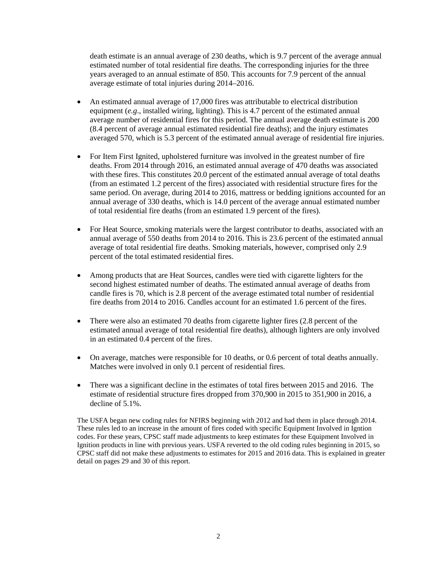death estimate is an annual average of 230 deaths, which is 9.7 percent of the average annual estimated number of total residential fire deaths. The corresponding injuries for the three years averaged to an annual estimate of 850. This accounts for 7.9 percent of the annual average estimate of total injuries during 2014–2016.

- An estimated annual average of 17,000 fires was attributable to electrical distribution equipment (*e.g*., installed wiring, lighting). This is 4.7 percent of the estimated annual average number of residential fires for this period. The annual average death estimate is 200 (8.4 percent of average annual estimated residential fire deaths); and the injury estimates averaged 570, which is 5.3 percent of the estimated annual average of residential fire injuries.
- For Item First Ignited, upholstered furniture was involved in the greatest number of fire deaths. From 2014 through 2016, an estimated annual average of 470 deaths was associated with these fires. This constitutes 20.0 percent of the estimated annual average of total deaths (from an estimated 1.2 percent of the fires) associated with residential structure fires for the same period. On average, during 2014 to 2016, mattress or bedding ignitions accounted for an annual average of 330 deaths, which is 14.0 percent of the average annual estimated number of total residential fire deaths (from an estimated 1.9 percent of the fires).
- For Heat Source, smoking materials were the largest contributor to deaths, associated with an annual average of 550 deaths from 2014 to 2016. This is 23.6 percent of the estimated annual average of total residential fire deaths. Smoking materials, however, comprised only 2.9 percent of the total estimated residential fires.
- Among products that are Heat Sources, candles were tied with cigarette lighters for the second highest estimated number of deaths. The estimated annual average of deaths from candle fires is 70, which is 2.8 percent of the average estimated total number of residential fire deaths from 2014 to 2016. Candles account for an estimated 1.6 percent of the fires.
- There were also an estimated 70 deaths from cigarette lighter fires (2.8 percent of the estimated annual average of total residential fire deaths), although lighters are only involved in an estimated 0.4 percent of the fires.
- On average, matches were responsible for 10 deaths, or 0.6 percent of total deaths annually. Matches were involved in only 0.1 percent of residential fires.
- There was a significant decline in the estimates of total fires between 2015 and 2016. The estimate of residential structure fires dropped from 370,900 in 2015 to 351,900 in 2016, a decline of 5.1%.

The USFA began new coding rules for NFIRS beginning with 2012 and had them in place through 2014. These rules led to an increase in the amount of fires coded with specific Equipment Involved in Igntion codes. For these years, CPSC staff made adjustments to keep estimates for these Equipment Involved in Ignition products in line with previous years. USFA reverted to the old coding rules beginning in 2015, so CPSC staff did not make these adjustments to estimates for 2015 and 2016 data. This is explained in greater detail on pages 29 and 30 of this report.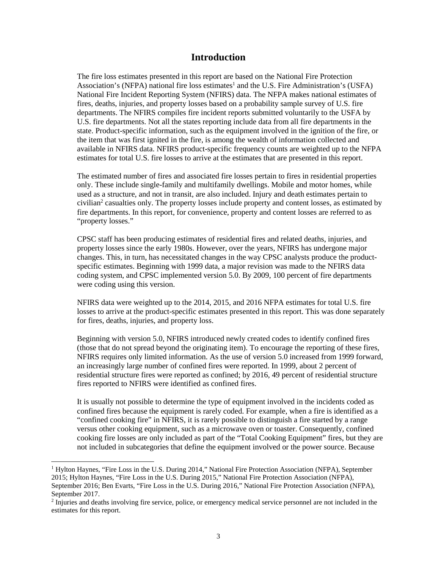#### **Introduction**

The fire loss estimates presented in this report are based on the National Fire Protection Association's (NFPA) national fire loss estimates<sup>1</sup> and the U.S. Fire Administration's (USFA) National Fire Incident Reporting System (NFIRS) data. The NFPA makes national estimates of fires, deaths, injuries, and property losses based on a probability sample survey of U.S. fire departments. The NFIRS compiles fire incident reports submitted voluntarily to the USFA by U.S. fire departments. Not all the states reporting include data from all fire departments in the state. Product-specific information, such as the equipment involved in the ignition of the fire, or the item that was first ignited in the fire, is among the wealth of information collected and available in NFIRS data. NFIRS product-specific frequency counts are weighted up to the NFPA estimates for total U.S. fire losses to arrive at the estimates that are presented in this report.

The estimated number of fires and associated fire losses pertain to fires in residential properties only. These include single-family and multifamily dwellings. Mobile and motor homes, while used as a structure, and not in transit, are also included. Injury and death estimates pertain to civilian<sup>2</sup> casualties only. The property losses include property and content losses, as estimated by fire departments. In this report, for convenience, property and content losses are referred to as "property losses."

CPSC staff has been producing estimates of residential fires and related deaths, injuries, and property losses since the early 1980s. However, over the years, NFIRS has undergone major changes. This, in turn, has necessitated changes in the way CPSC analysts produce the productspecific estimates. Beginning with 1999 data, a major revision was made to the NFIRS data coding system, and CPSC implemented version 5.0. By 2009, 100 percent of fire departments were coding using this version.

NFIRS data were weighted up to the 2014, 2015, and 2016 NFPA estimates for total U.S. fire losses to arrive at the product-specific estimates presented in this report. This was done separately for fires, deaths, injuries, and property loss.

Beginning with version 5.0, NFIRS introduced newly created codes to identify confined fires (those that do not spread beyond the originating item). To encourage the reporting of these fires, NFIRS requires only limited information. As the use of version 5.0 increased from 1999 forward, an increasingly large number of confined fires were reported. In 1999, about 2 percent of residential structure fires were reported as confined; by 2016, 49 percent of residential structure fires reported to NFIRS were identified as confined fires.

It is usually not possible to determine the type of equipment involved in the incidents coded as confined fires because the equipment is rarely coded. For example, when a fire is identified as a "confined cooking fire" in NFIRS, it is rarely possible to distinguish a fire started by a range versus other cooking equipment, such as a microwave oven or toaster. Consequently, confined cooking fire losses are only included as part of the "Total Cooking Equipment" fires, but they are not included in subcategories that define the equipment involved or the power source. Because

 <sup>1</sup> Hylton Haynes, "Fire Loss in the U.S. During 2014," National Fire Protection Association (NFPA), September 2015; Hylton Haynes, "Fire Loss in the U.S. During 2015," National Fire Protection Association (NFPA), September 2016; Ben Evarts, "Fire Loss in the U.S. During 2016," National Fire Protection Association (NFPA),

September 2017.

<sup>&</sup>lt;sup>2</sup> Injuries and deaths involving fire service, police, or emergency medical service personnel are not included in the estimates for this report.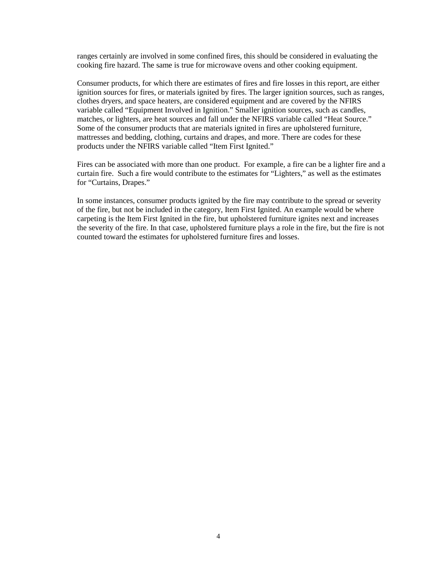ranges certainly are involved in some confined fires, this should be considered in evaluating the cooking fire hazard. The same is true for microwave ovens and other cooking equipment.

Consumer products, for which there are estimates of fires and fire losses in this report, are either ignition sources for fires, or materials ignited by fires. The larger ignition sources, such as ranges, clothes dryers, and space heaters, are considered equipment and are covered by the NFIRS variable called "Equipment Involved in Ignition." Smaller ignition sources, such as candles, matches, or lighters, are heat sources and fall under the NFIRS variable called "Heat Source." Some of the consumer products that are materials ignited in fires are upholstered furniture, mattresses and bedding, clothing, curtains and drapes, and more. There are codes for these products under the NFIRS variable called "Item First Ignited."

Fires can be associated with more than one product. For example, a fire can be a lighter fire and a curtain fire. Such a fire would contribute to the estimates for "Lighters," as well as the estimates for "Curtains, Drapes."

In some instances, consumer products ignited by the fire may contribute to the spread or severity of the fire, but not be included in the category, Item First Ignited. An example would be where carpeting is the Item First Ignited in the fire, but upholstered furniture ignites next and increases the severity of the fire. In that case, upholstered furniture plays a role in the fire, but the fire is not counted toward the estimates for upholstered furniture fires and losses.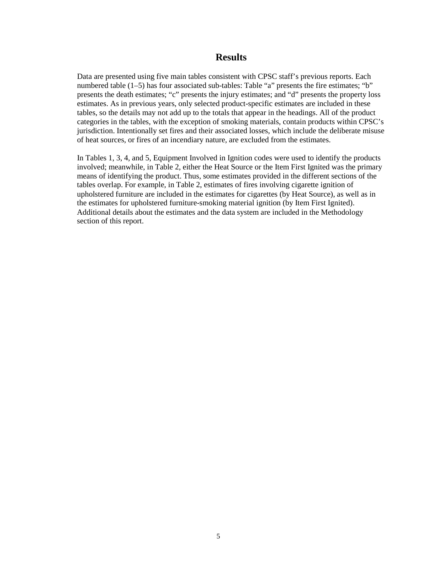#### **Results**

Data are presented using five main tables consistent with CPSC staff's previous reports. Each numbered table (1–5) has four associated sub-tables: Table "a" presents the fire estimates; "b" presents the death estimates; "c" presents the injury estimates; and "d" presents the property loss estimates. As in previous years, only selected product-specific estimates are included in these tables, so the details may not add up to the totals that appear in the headings. All of the product categories in the tables, with the exception of smoking materials, contain products within CPSC's jurisdiction. Intentionally set fires and their associated losses, which include the deliberate misuse of heat sources, or fires of an incendiary nature, are excluded from the estimates.

In Tables 1, 3, 4, and 5, Equipment Involved in Ignition codes were used to identify the products involved; meanwhile, in Table 2, either the Heat Source or the Item First Ignited was the primary means of identifying the product. Thus, some estimates provided in the different sections of the tables overlap. For example, in Table 2, estimates of fires involving cigarette ignition of upholstered furniture are included in the estimates for cigarettes (by Heat Source), as well as in the estimates for upholstered furniture-smoking material ignition (by Item First Ignited). Additional details about the estimates and the data system are included in the Methodology section of this report.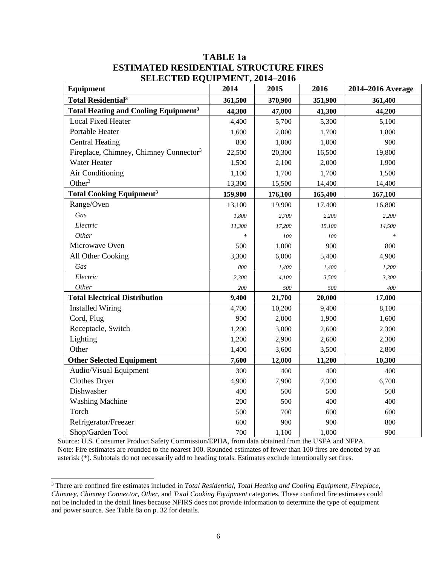| Equipment                                              | 2014    | 2015    | 2016    | 2014-2016 Average |
|--------------------------------------------------------|---------|---------|---------|-------------------|
| <b>Total Residential<sup>3</sup></b>                   | 361,500 | 370,900 | 351,900 | 361,400           |
| <b>Total Heating and Cooling Equipment<sup>3</sup></b> | 44,300  | 47,000  | 41,300  | 44,200            |
| <b>Local Fixed Heater</b>                              | 4,400   | 5,700   | 5,300   | 5,100             |
| Portable Heater                                        | 1,600   | 2,000   | 1,700   | 1,800             |
| <b>Central Heating</b>                                 | 800     | 1,000   | 1,000   | 900               |
| Fireplace, Chimney, Chimney Connector <sup>3</sup>     | 22,500  | 20,300  | 16,500  | 19,800            |
| Water Heater                                           | 1,500   | 2,100   | 2,000   | 1,900             |
| Air Conditioning                                       | 1,100   | 1,700   | 1,700   | 1,500             |
| Other $3$                                              | 13,300  | 15,500  | 14,400  | 14,400            |
| <b>Total Cooking Equipment<sup>3</sup></b>             | 159,900 | 176,100 | 165,400 | 167,100           |
| Range/Oven                                             | 13,100  | 19,900  | 17,400  | 16,800            |
| Gas                                                    | 1,800   | 2,700   | 2,200   | 2,200             |
| Electric                                               | 11,300  | 17,200  | 15,100  | 14,500            |
| Other                                                  |         | 100     | 100     | $\ast$            |
| Microwave Oven                                         | 500     | 1,000   | 900     | 800               |
| All Other Cooking                                      | 3,300   | 6,000   | 5,400   | 4,900             |
| Gas                                                    | 800     | 1,400   | 1,400   | 1,200             |
| Electric                                               | 2,300   | 4,100   | 3,500   | 3,300             |
| Other                                                  | 200     | 500     | 500     | 400               |
| <b>Total Electrical Distribution</b>                   | 9,400   | 21,700  | 20,000  | 17,000            |
| <b>Installed Wiring</b>                                | 4,700   | 10,200  | 9,400   | 8,100             |
| Cord, Plug                                             | 900     | 2,000   | 1,900   | 1,600             |
| Receptacle, Switch                                     | 1,200   | 3,000   | 2,600   | 2,300             |
| Lighting                                               | 1,200   | 2,900   | 2,600   | 2,300             |
| Other                                                  | 1,400   | 3,600   | 3,500   | 2,800             |
| <b>Other Selected Equipment</b>                        | 7,600   | 12,000  | 11,200  | 10,300            |
| Audio/Visual Equipment                                 | 300     | 400     | 400     | 400               |
| Clothes Dryer                                          | 4,900   | 7,900   | 7,300   | 6,700             |
| Dishwasher                                             | 400     | 500     | 500     | 500               |
| <b>Washing Machine</b>                                 | 200     | 500     | 400     | 400               |
| Torch                                                  | 500     | 700     | 600     | 600               |
| Refrigerator/Freezer                                   | 600     | 900     | 900     | 800               |
| Shop/Garden Tool                                       | 700     | 1,100   | 1,000   | 900               |

# **TABLE 1a ESTIMATED RESIDENTIAL STRUCTURE FIRES SELECTED EQUIPMENT, 2014–2016**

Source: U.S. Consumer Product Safety Commission/EPHA, from data obtained from the USFA and NFPA. Note: Fire estimates are rounded to the nearest 100. Rounded estimates of fewer than 100 fires are denoted by an asterisk (\*). Subtotals do not necessarily add to heading totals. Estimates exclude intentionally set fires.

 <sup>3</sup> There are confined fire estimates included in *Total Residential, Total Heating and Cooling Equipment, Fireplace, Chimney, Chimney Connector, Other*, and *Total Cooking Equipment* categories. These confined fire estimates could not be included in the detail lines because NFIRS does not provide information to determine the type of equipment and power source. See Table 8a on p. 32 for details.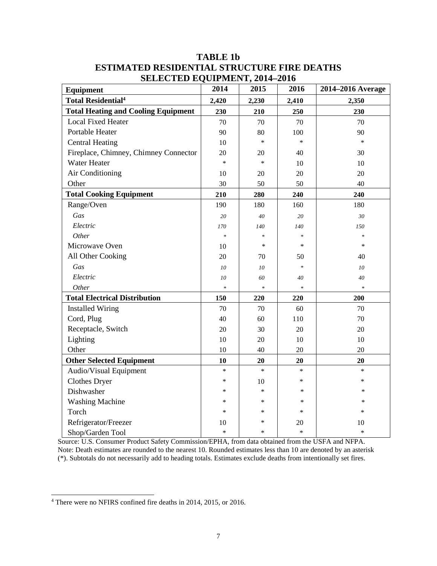| <b>Equipment</b>                           | 2014   | 2015   | 2016   | 2014–2016 Average |
|--------------------------------------------|--------|--------|--------|-------------------|
| <b>Total Residential<sup>4</sup></b>       | 2,420  | 2,230  | 2,410  | 2,350             |
| <b>Total Heating and Cooling Equipment</b> | 230    | 210    | 250    | 230               |
| <b>Local Fixed Heater</b>                  | 70     | 70     | 70     | 70                |
| Portable Heater                            | 90     | 80     | 100    | 90                |
| <b>Central Heating</b>                     | 10     | $\ast$ | $\ast$ | $\ast$            |
| Fireplace, Chimney, Chimney Connector      | 20     | 20     | 40     | 30                |
| <b>Water Heater</b>                        | $\ast$ | $\ast$ | 10     | 10                |
| Air Conditioning                           | 10     | 20     | 20     | 20                |
| Other                                      | 30     | 50     | 50     | 40                |
| <b>Total Cooking Equipment</b>             | 210    | 280    | 240    | 240               |
| Range/Oven                                 | 190    | 180    | 160    | 180               |
| Gas                                        | 20     | 40     | 20     | 30                |
| Electric                                   | 170    | 140    | 140    | 150               |
| Other                                      | $\ast$ | $\ast$ | $\ast$ | $\ast$            |
| Microwave Oven                             | 10     | $\ast$ | *      | *                 |
| All Other Cooking                          | 20     | 70     | 50     | 40                |
| Gas                                        | 10     | 10     | $\ast$ | 10                |
| Electric                                   | 10     | 60     | 40     | 40                |
| Other                                      | $\ast$ | $\ast$ | $\ast$ | $\ast$            |
| <b>Total Electrical Distribution</b>       | 150    | 220    | 220    | 200               |
| <b>Installed Wiring</b>                    | 70     | 70     | 60     | 70                |
| Cord, Plug                                 | 40     | 60     | 110    | 70                |
| Receptacle, Switch                         | 20     | 30     | 20     | 20                |
| Lighting                                   | 10     | 20     | 10     | 10                |
| Other                                      | 10     | 40     | 20     | 20                |
| <b>Other Selected Equipment</b>            | 10     | 20     | 20     | 20                |
| Audio/Visual Equipment                     | $\ast$ | $\ast$ | $\ast$ | $\ast$            |
| <b>Clothes Dryer</b>                       | $\ast$ | 10     | $\ast$ | *                 |
| Dishwasher                                 | $\ast$ | $\ast$ | ∗      | *                 |
| <b>Washing Machine</b>                     | $\ast$ | $\ast$ | $\ast$ | *                 |
| Torch                                      | $\ast$ | $\ast$ | *      | $\ast$            |
| Refrigerator/Freezer                       | 10     | ∗      | 20     | 10                |
| Shop/Garden Tool                           | $\ast$ | $\ast$ | $\ast$ | $\ast$            |

# **TABLE 1b ESTIMATED RESIDENTIAL STRUCTURE FIRE DEATHS SELECTED EQUIPMENT, 2014–2016**

Source: U.S. Consumer Product Safety Commission/EPHA, from data obtained from the USFA and NFPA. Note: Death estimates are rounded to the nearest 10. Rounded estimates less than 10 are denoted by an asterisk (\*). Subtotals do not necessarily add to heading totals. Estimates exclude deaths from intentionally set fires.

 <sup>4</sup> There were no NFIRS confined fire deaths in 2014, 2015, or 2016.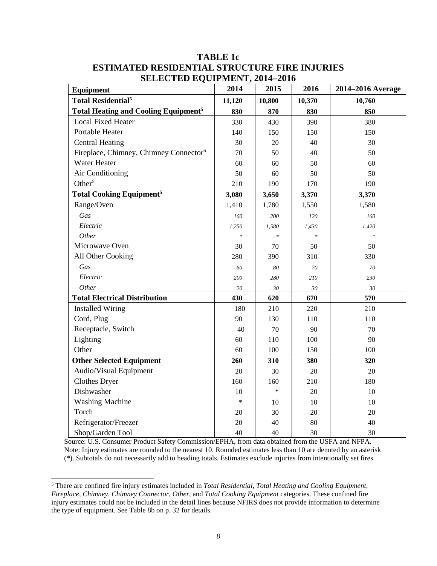| <b>Equipment</b>                                       | 2014         | 2015               | 2016          | 2014-2016 Average |
|--------------------------------------------------------|--------------|--------------------|---------------|-------------------|
| <b>Total Residential<sup>5</sup></b>                   | 11,120       | 10,800             | 10,370        | 10,760            |
| <b>Total Heating and Cooling Equipment<sup>5</sup></b> | 830          | 870                | 830           | 850               |
| <b>Local Fixed Heater</b>                              | 330          | 430                | 390           | 380               |
| Portable Heater                                        | 140          | 150                | 150           | 150               |
| <b>Central Heating</b>                                 | 30           | 20                 | 40            | 30                |
| Fireplace, Chimney, Chimney Connector <sup>6</sup>     | 70           | 50                 | 40            | 50                |
| <b>Water Heater</b>                                    | 60           | 60                 | 50            | 60                |
| Air Conditioning                                       | 50           | 60                 | 50            | 50                |
| Other $5$                                              | 210          | 190                | 170           | 190               |
| <b>Total Cooking Equipment<sup>5</sup></b>             | 3,080        | 3,650              | 3,370         | 3,370             |
| Range/Oven                                             | 1,410        | 1,780              | 1,550         | 1,580             |
| Gas                                                    | 160          | 200                | 120           | 160               |
| Electric                                               | 1,250        | 1,580              | 1,430         | 1,420             |
| Other                                                  | $\mathbf{x}$ | $\dot{\mathbf{x}}$ | $\frac{1}{2}$ | $\ast$            |
| Microwave Oven                                         | 30           | 70                 | 50            | 50                |
| All Other Cooking                                      | 280          | 390                | 310           | 330               |
| Gas                                                    | 60           | 80                 | 70            | 70                |
| Electric                                               | 200          | 280                | 210           | 230               |
| Other                                                  | 20           | 30                 | 30            | 30                |
| <b>Total Electrical Distribution</b>                   | 430          | 620                | 670           | 570               |
| <b>Installed Wiring</b>                                | 180          | 210                | 220           | 210               |
| Cord, Plug                                             | 90           | 130                | 110           | 110               |
| Receptacle, Switch                                     | 40           | 70                 | 90            | 70                |
| Lighting                                               | 60           | 110                | 100           | 90                |
| Other                                                  | 60           | 100                | 150           | 100               |
| <b>Other Selected Equipment</b>                        | 260          | 310                | 380           | 320               |
| Audio/Visual Equipment                                 | 20           | 30                 | 20            | 20                |
| Clothes Dryer                                          | 160          | 160                | 210           | 180               |
| Dishwasher                                             | 10           | $\ast$             | 20            | 10                |
| <b>Washing Machine</b>                                 | $\ast$       | 10                 | 10            | 10                |
| Torch                                                  | 20           | 30                 | 20            | 20                |
| Refrigerator/Freezer                                   | 20           | 40                 | 80            | 40                |
| Shop/Garden Tool                                       | 40           | 40                 | 30            | 30                |

#### **TABLE 1c ESTIMATED RESIDENTIAL STRUCTURE FIRE INJURIES SELECTED EQUIPMENT, 2014–2016**

Source: U.S. Consumer Product Safety Commission/EPHA, from data obtained from the USFA and NFPA. Note: Injury estimates are rounded to the nearest 10. Rounded estimates less than 10 are denoted by an asterisk (\*). Subtotals do not necessarily add to heading totals. Estimates exclude injuries from intentionally set fires.

 <sup>5</sup> There are confined fire injury estimates included in *Total Residential*, *Total Heating and Cooling Equipment*, *Fireplace, Chimney, Chimney Connector*, *Other*, and *Total Cooking Equipment* categories. These confined fire injury estimates could not be included in the detail lines because NFIRS does not provide information to determine the type of equipment. See Table 8b on p. 32 for details.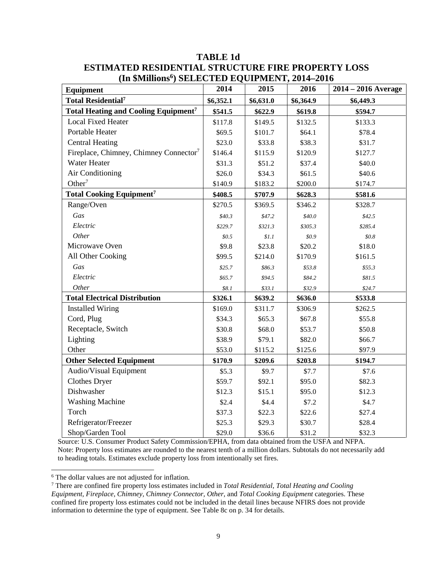| <b>Equipment</b>                                   | 2014      | 2015      | 2016      | $2014 - 2016$ Average |
|----------------------------------------------------|-----------|-----------|-----------|-----------------------|
| <b>Total Residential<sup>7</sup></b>               | \$6,352.1 | \$6,631.0 | \$6,364.9 | \$6,449.3             |
| Total Heating and Cooling Equipment <sup>7</sup>   | \$541.5   | \$622.9   | \$619.8   | \$594.7               |
| <b>Local Fixed Heater</b>                          | \$117.8   | \$149.5   | \$132.5   | \$133.3               |
| Portable Heater                                    | \$69.5    | \$101.7   | \$64.1    | \$78.4                |
| <b>Central Heating</b>                             | \$23.0    | \$33.8    | \$38.3    | \$31.7                |
| Fireplace, Chimney, Chimney Connector <sup>7</sup> | \$146.4   | \$115.9   | \$120.9   | \$127.7               |
| Water Heater                                       | \$31.3    | \$51.2    | \$37.4    | \$40.0                |
| Air Conditioning                                   | \$26.0    | \$34.3    | \$61.5    | \$40.6                |
| Other <sup>7</sup>                                 | \$140.9   | \$183.2   | \$200.0   | \$174.7               |
| <b>Total Cooking Equipment<sup>7</sup></b>         | \$408.5   | \$707.9   | \$628.3   | \$581.6               |
| Range/Oven                                         | \$270.5   | \$369.5   | \$346.2   | \$328.7               |
| Gas                                                | \$40.3    | \$47.2\$  | \$40.0    | \$42.5                |
| Electric                                           | \$229.7   | \$321.3\$ | \$305.3   | \$285.4               |
| Other                                              | \$0.5\$   | \$1.1     | \$0.9\$   | \$0.8\$               |
| Microwave Oven                                     | \$9.8     | \$23.8    | \$20.2    | \$18.0                |
| All Other Cooking                                  | \$99.5    | \$214.0   | \$170.9   | \$161.5               |
| Gas                                                | \$25.7    | \$86.3    | \$53.8\$  | \$55.3\$              |
| Electric                                           | \$65.7    | \$94.5    | \$84.2    | \$81.5                |
| Other                                              | \$8.1     | \$33.1    | \$32.9    | \$24.7                |
| <b>Total Electrical Distribution</b>               | \$326.1   | \$639.2   | \$636.0   | \$533.8               |
| <b>Installed Wiring</b>                            | \$169.0   | \$311.7   | \$306.9   | \$262.5               |
| Cord, Plug                                         | \$34.3    | \$65.3    | \$67.8    | \$55.8                |
| Receptacle, Switch                                 | \$30.8    | \$68.0    | \$53.7    | \$50.8                |
| Lighting                                           | \$38.9    | \$79.1    | \$82.0    | \$66.7                |
| Other                                              | \$53.0    | \$115.2   | \$125.6   | \$97.9                |
| <b>Other Selected Equipment</b>                    | \$170.9   | \$209.6   | \$203.8   | \$194.7               |
| Audio/Visual Equipment                             | \$5.3     | \$9.7     | \$7.7     | \$7.6                 |
| <b>Clothes Dryer</b>                               | \$59.7    | \$92.1    | \$95.0    | \$82.3                |
| Dishwasher                                         | \$12.3    | \$15.1    | \$95.0    | \$12.3                |
| <b>Washing Machine</b>                             | \$2.4     | \$4.4     | \$7.2     | \$4.7                 |
| Torch                                              | \$37.3    | \$22.3    | \$22.6    | \$27.4                |
| Refrigerator/Freezer                               | \$25.3    | \$29.3    | \$30.7    | \$28.4                |
| Shop/Garden Tool                                   | \$29.0    | \$36.6    | \$31.2    | \$32.3                |

# **TABLE 1d ESTIMATED RESIDENTIAL STRUCTURE FIRE PROPERTY LOSS (In \$Millions6 ) SELECTED EQUIPMENT, 2014–2016**

Source: U.S. Consumer Product Safety Commission/EPHA, from data obtained from the USFA and NFPA. Note: Property loss estimates are rounded to the nearest tenth of a million dollars. Subtotals do not necessarily add to heading totals. Estimates exclude property loss from intentionally set fires.

<sup>&</sup>lt;sup>6</sup> The dollar values are not adjusted for inflation.

<sup>7</sup> There are confined fire property loss estimates included in *Total Residential, Total Heating and Cooling Equipment, Fireplace, Chimney, Chimney Connector, Other*, and *Total Cooking Equipment* categories. These confined fire property loss estimates could not be included in the detail lines because NFIRS does not provide information to determine the type of equipment. See Table 8c on p. 34 for details.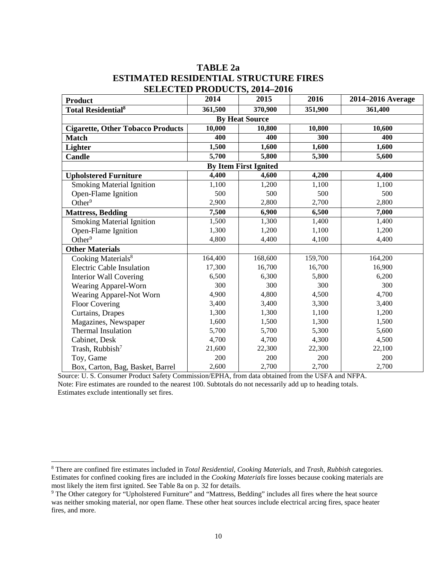#### **TABLE 2a ESTIMATED RESIDENTIAL STRUCTURE FIRES SELECTED PRODUCTS 2014–2016**

| <b>Product</b>                           | 2014     | ОЦЦСТЦР І КОРССІО, 2017—2010<br>2015 | 2016    | 2014–2016 Average |  |  |  |
|------------------------------------------|----------|--------------------------------------|---------|-------------------|--|--|--|
| <b>Total Residential</b> <sup>8</sup>    | 361,500  | 370,900                              | 351,900 | 361,400           |  |  |  |
|                                          |          | <b>By Heat Source</b>                |         |                   |  |  |  |
| <b>Cigarette, Other Tobacco Products</b> | 10,000   | 10,800                               | 10,800  | 10,600            |  |  |  |
| <b>Match</b>                             | 400      | 400                                  | 300     | 400               |  |  |  |
| Lighter                                  | 1,500    | 1,600                                | 1,600   | 1,600             |  |  |  |
| <b>Candle</b>                            | 5,700    | 5,800                                | 5,300   | 5,600             |  |  |  |
| <b>By Item First Ignited</b>             |          |                                      |         |                   |  |  |  |
| <b>Upholstered Furniture</b>             | 4,400    | 4,600                                | 4,200   | 4,400             |  |  |  |
| <b>Smoking Material Ignition</b>         | 1,100    | 1,200                                | 1,100   | 1,100             |  |  |  |
| Open-Flame Ignition                      | 500      | 500                                  | 500     | 500               |  |  |  |
| Other $9$                                | 2,900    | 2,800                                | 2,700   | 2,800             |  |  |  |
| <b>Mattress, Bedding</b>                 | 7,500    | 6,900                                | 6,500   | 7,000             |  |  |  |
| <b>Smoking Material Ignition</b>         | 1,500    | 1,300                                | 1,400   | 1,400             |  |  |  |
| Open-Flame Ignition                      | 1,300    | 1,200                                | 1,100   | 1,200             |  |  |  |
| Other $9$                                | 4,800    | 4,400                                | 4,100   | 4,400             |  |  |  |
| <b>Other Materials</b>                   |          |                                      |         |                   |  |  |  |
| Cooking Materials <sup>8</sup>           | 164, 400 | 168,600                              | 159,700 | 164,200           |  |  |  |
| <b>Electric Cable Insulation</b>         | 17,300   | 16,700                               | 16,700  | 16,900            |  |  |  |
| <b>Interior Wall Covering</b>            | 6,500    | 6,300                                | 5,800   | 6,200             |  |  |  |
| Wearing Apparel-Worn                     | 300      | 300                                  | 300     | 300               |  |  |  |
| Wearing Apparel-Not Worn                 | 4,900    | 4,800                                | 4,500   | 4,700             |  |  |  |
| <b>Floor Covering</b>                    | 3,400    | 3,400                                | 3,300   | 3,400             |  |  |  |
| Curtains, Drapes                         | 1,300    | 1,300                                | 1,100   | 1,200             |  |  |  |
| Magazines, Newspaper                     | 1,600    | 1,500                                | 1,300   | 1,500             |  |  |  |
| <b>Thermal Insulation</b>                | 5,700    | 5,700                                | 5,300   | 5,600             |  |  |  |
| Cabinet, Desk                            | 4,700    | 4,700                                | 4,300   | 4,500             |  |  |  |
| Trash, Rubbish <sup>7</sup>              | 21,600   | 22,300                               | 22,300  | 22,100            |  |  |  |
| Toy, Game                                | 200      | 200                                  | 200     | 200               |  |  |  |
| Box, Carton, Bag, Basket, Barrel         | 2,600    | 2,700                                | 2,700   | 2,700             |  |  |  |

Source: U. S. Consumer Product Safety Commission/EPHA, from data obtained from the USFA and NFPA. Note: Fire estimates are rounded to the nearest 100. Subtotals do not necessarily add up to heading totals. Estimates exclude intentionally set fires.

 <sup>8</sup> There are confined fire estimates included in *Total Residential, Cooking Materials,* and *Trash, Rubbish* categories. Estimates for confined cooking fires are included in the *Cooking Materials* fire losses because cooking materials are

<sup>&</sup>lt;sup>9</sup> The Other category for "Upholstered Furniture" and "Mattress, Bedding" includes all fires where the heat source was neither smoking material, nor open flame. These other heat sources include electrical arcing fires, space heater fires, and more.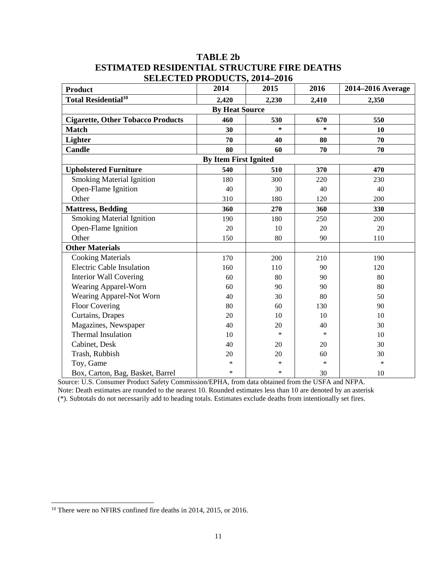#### **TABLE 2b ESTIMATED RESIDENTIAL STRUCTURE FIRE DEATHS SELECTED PRODUCTS, 2014–2016**

| <b>Product</b>                           | 011110111101110000110, 201 <del>1</del> –2010<br>2014 | 2015   | 2016   | 2014–2016 Average |
|------------------------------------------|-------------------------------------------------------|--------|--------|-------------------|
| <b>Total Residential<sup>10</sup></b>    | 2,420                                                 | 2,230  | 2,410  | 2,350             |
|                                          | <b>By Heat Source</b>                                 |        |        |                   |
| <b>Cigarette, Other Tobacco Products</b> | 460                                                   | 530    | 670    | 550               |
| <b>Match</b>                             | 30                                                    | $\ast$ | $\ast$ | 10                |
| Lighter                                  | 70                                                    | 40     | 80     | 70                |
| <b>Candle</b>                            | 80                                                    | 60     | 70     | 70                |
|                                          | <b>By Item First Ignited</b>                          |        |        |                   |
| <b>Upholstered Furniture</b>             | 540                                                   | 510    | 370    | 470               |
| <b>Smoking Material Ignition</b>         | 180                                                   | 300    | 220    | 230               |
| Open-Flame Ignition                      | 40                                                    | 30     | 40     | 40                |
| Other                                    | 310                                                   | 180    | 120    | 200               |
| <b>Mattress, Bedding</b>                 | 360                                                   | 270    | 360    | 330               |
| <b>Smoking Material Ignition</b>         | 190                                                   | 180    | 250    | 200               |
| Open-Flame Ignition                      | 20                                                    | 10     | 20     | 20                |
| Other                                    | 150                                                   | 80     | 90     | 110               |
| <b>Other Materials</b>                   |                                                       |        |        |                   |
| <b>Cooking Materials</b>                 | 170                                                   | 200    | 210    | 190               |
| <b>Electric Cable Insulation</b>         | 160                                                   | 110    | 90     | 120               |
| <b>Interior Wall Covering</b>            | 60                                                    | 80     | 90     | 80                |
| Wearing Apparel-Worn                     | 60                                                    | 90     | 90     | 80                |
| Wearing Apparel-Not Worn                 | 40                                                    | 30     | 80     | 50                |
| <b>Floor Covering</b>                    | 80                                                    | 60     | 130    | 90                |
| Curtains, Drapes                         | 20                                                    | 10     | 10     | 10                |
| Magazines, Newspaper                     | 40                                                    | 20     | 40     | 30                |
| <b>Thermal Insulation</b>                | 10                                                    | $\ast$ | $\ast$ | 10                |
| Cabinet, Desk                            | 40                                                    | 20     | 20     | 30                |
| Trash, Rubbish                           | 20                                                    | 20     | 60     | 30                |
| Toy, Game                                | *                                                     | $\ast$ | $\ast$ | $\ast$            |
| Box, Carton, Bag, Basket, Barrel         | *                                                     | $\ast$ | 30     | 10                |

Source: U.S. Consumer Product Safety Commission/EPHA, from data obtained from the USFA and NFPA. Note: Death estimates are rounded to the nearest 10. Rounded estimates less than 10 are denoted by an asterisk (\*). Subtotals do not necessarily add to heading totals. Estimates exclude deaths from intentionally set fires.

<sup>&</sup>lt;sup>10</sup> There were no NFIRS confined fire deaths in 2014, 2015, or 2016.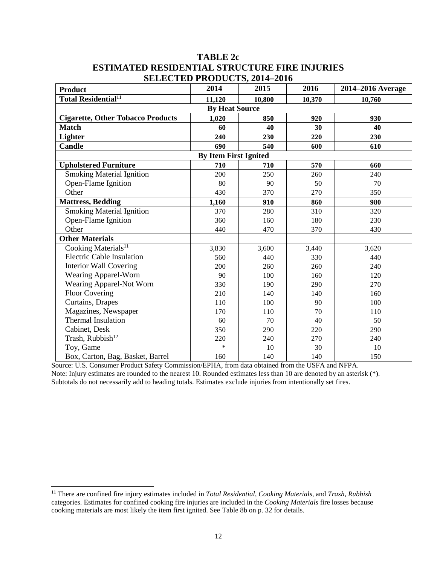#### **TABLE 2c ESTIMATED RESIDENTIAL STRUCTURE FIRE INJURIES SELECTED PRODUCTS, 2014–2016**

| <b>Product</b>                           | ОССОВНО ГАОДОСТО, 2014 2010<br>2014 | 2015   | 2016   | 2014–2016 Average |
|------------------------------------------|-------------------------------------|--------|--------|-------------------|
| Total Residential <sup>11</sup>          | 11,120                              | 10,800 | 10,370 | 10,760            |
|                                          | <b>By Heat Source</b>               |        |        |                   |
| <b>Cigarette, Other Tobacco Products</b> | 1,020                               | 850    | 920    | 930               |
| <b>Match</b>                             | 60                                  | 40     | 30     | 40                |
| Lighter                                  | 240                                 | 230    | 220    | 230               |
| <b>Candle</b>                            | 690                                 | 540    | 600    | 610               |
|                                          | <b>By Item First Ignited</b>        |        |        |                   |
| <b>Upholstered Furniture</b>             | 710                                 | 710    | 570    | 660               |
| <b>Smoking Material Ignition</b>         | 200                                 | 250    | 260    | 240               |
| Open-Flame Ignition                      | 80                                  | 90     | 50     | 70                |
| Other                                    | 430                                 | 370    | 270    | 350               |
| <b>Mattress, Bedding</b>                 | 1,160                               | 910    | 860    | 980               |
| <b>Smoking Material Ignition</b>         | 370                                 | 280    | 310    | 320               |
| Open-Flame Ignition                      | 360                                 | 160    | 180    | 230               |
| Other                                    | 440                                 | 470    | 370    | 430               |
| <b>Other Materials</b>                   |                                     |        |        |                   |
| Cooking Materials <sup>11</sup>          | 3,830                               | 3,600  | 3,440  | 3,620             |
| <b>Electric Cable Insulation</b>         | 560                                 | 440    | 330    | 440               |
| <b>Interior Wall Covering</b>            | 200                                 | 260    | 260    | 240               |
| Wearing Apparel-Worn                     | 90                                  | 100    | 160    | 120               |
| Wearing Apparel-Not Worn                 | 330                                 | 190    | 290    | 270               |
| <b>Floor Covering</b>                    | 210                                 | 140    | 140    | 160               |
| Curtains, Drapes                         | 110                                 | 100    | 90     | 100               |
| Magazines, Newspaper                     | 170                                 | 110    | 70     | 110               |
| <b>Thermal Insulation</b>                | 60                                  | 70     | 40     | 50                |
| Cabinet, Desk                            | 350                                 | 290    | 220    | 290               |
| Trash, Rubbish <sup>12</sup>             | 220                                 | 240    | 270    | 240               |
| Toy, Game                                | $\ast$                              | 10     | 30     | 10                |
| Box, Carton, Bag, Basket, Barrel         | 160                                 | 140    | 140    | 150               |

Source: U.S. Consumer Product Safety Commission/EPHA, from data obtained from the USFA and NFPA. Note: Injury estimates are rounded to the nearest 10. Rounded estimates less than 10 are denoted by an asterisk (\*). Subtotals do not necessarily add to heading totals. Estimates exclude injuries from intentionally set fires.

 <sup>11</sup> There are confined fire injury estimates included in *Total Residential, Cooking Materials,* and *Trash, Rubbish* categories. Estimates for confined cooking fire injuries are included in the *Cooking Materials* fire losses because cooking materials are most likely the item first ignited. See Table 8b on p. 32 for details.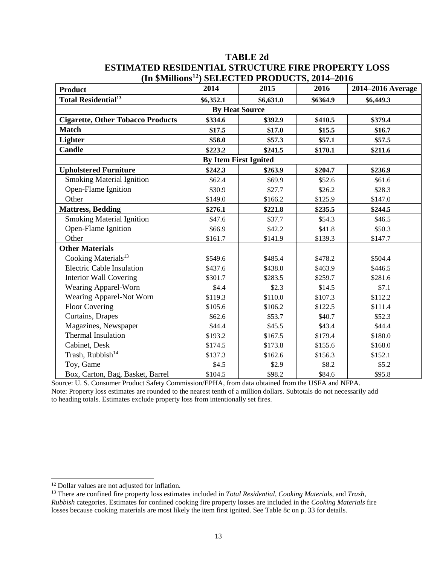| (III эриппонs <sup>--</sup> )            |                              | $SELELLLEU FKODUCI S, 2014-2010$ |          |                   |
|------------------------------------------|------------------------------|----------------------------------|----------|-------------------|
| <b>Product</b>                           | 2014                         | 2015                             | 2016     | 2014-2016 Average |
| <b>Total Residential<sup>13</sup></b>    | \$6,352.1                    | \$6,631.0                        | \$6364.9 | \$6,449.3         |
|                                          | <b>By Heat Source</b>        |                                  |          |                   |
| <b>Cigarette, Other Tobacco Products</b> | \$334.6                      | \$392.9                          | \$410.5  | \$379.4           |
| <b>Match</b>                             | \$17.5                       | \$17.0                           | \$15.5   | \$16.7            |
| <b>Lighter</b>                           | \$58.0                       | \$57.3                           | \$57.1   | \$57.5            |
| Candle                                   | \$223.2                      | \$241.5                          | \$170.1  | \$211.6           |
|                                          | <b>By Item First Ignited</b> |                                  |          |                   |
| <b>Upholstered Furniture</b>             | \$242.3                      | \$263.9                          | \$204.7  | \$236.9           |
| <b>Smoking Material Ignition</b>         | \$62.4                       | \$69.9                           | \$52.6   | \$61.6            |
| Open-Flame Ignition                      | \$30.9                       | \$27.7                           | \$26.2   | \$28.3            |
| Other                                    | \$149.0                      | \$166.2                          | \$125.9  | \$147.0           |
| <b>Mattress, Bedding</b>                 | \$276.1                      | \$221.8                          | \$235.5  | \$244.5           |
| <b>Smoking Material Ignition</b>         | \$47.6                       | \$37.7                           | \$54.3   | \$46.5            |
| Open-Flame Ignition                      | \$66.9                       | \$42.2                           | \$41.8   | \$50.3            |
| Other                                    | \$161.7                      | \$141.9                          | \$139.3  | \$147.7           |
| <b>Other Materials</b>                   |                              |                                  |          |                   |
| Cooking Materials <sup>13</sup>          | \$549.6                      | \$485.4                          | \$478.2  | \$504.4           |
| <b>Electric Cable Insulation</b>         | \$437.6                      | \$438.0                          | \$463.9  | \$446.5           |
| <b>Interior Wall Covering</b>            | \$301.7                      | \$283.5                          | \$259.7  | \$281.6           |
| Wearing Apparel-Worn                     | \$4.4                        | \$2.3                            | \$14.5   | \$7.1             |
| Wearing Apparel-Not Worn                 | \$119.3                      | \$110.0                          | \$107.3  | \$112.2           |
| <b>Floor Covering</b>                    | \$105.6                      | \$106.2                          | \$122.5  | \$111.4           |
| Curtains, Drapes                         | \$62.6                       | \$53.7                           | \$40.7   | \$52.3            |
| Magazines, Newspaper                     | \$44.4                       | \$45.5                           | \$43.4   | \$44.4            |
| <b>Thermal Insulation</b>                | \$193.2                      | \$167.5                          | \$179.4  | \$180.0           |
| Cabinet, Desk                            | \$174.5                      | \$173.8                          | \$155.6  | \$168.0           |
| Trash, Rubbish <sup>14</sup>             | \$137.3                      | \$162.6                          | \$156.3  | \$152.1           |
| Toy, Game                                | \$4.5                        | \$2.9                            | \$8.2    | \$5.2             |
| Box, Carton, Bag, Basket, Barrel         | \$104.5                      | \$98.2                           | \$84.6   | \$95.8            |

#### **TABLE 2d ESTIMATED RESIDENTIAL STRUCTURE FIRE PROPERTY LOSS (In \$Millions12) SELECTED PRODUCTS, 2014–2016**

Source: U. S. Consumer Product Safety Commission/EPHA, from data obtained from the USFA and NFPA. Note: Property loss estimates are rounded to the nearest tenth of a million dollars. Subtotals do not necessarily add to heading totals. Estimates exclude property loss from intentionally set fires.

<sup>&</sup>lt;sup>12</sup> Dollar values are not adjusted for inflation.

<sup>13</sup> There are confined fire property loss estimates included in *Total Residential, Cooking Materials,* and *Trash, Rubbish* categories. Estimates for confined cooking fire property losses are included in the *Cooking Materials* fire losses because cooking materials are most likely the item first ignited. See Table 8c on p. 33 for details.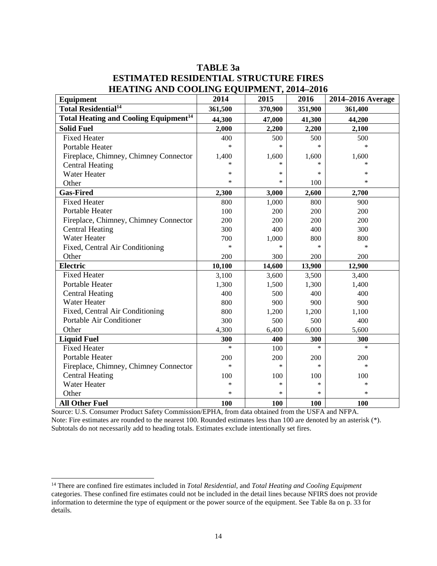| HEATING AND COOLING EQUITMENT, 2014–2010                |         |         |         |                   |
|---------------------------------------------------------|---------|---------|---------|-------------------|
| Equipment                                               | 2014    | 2015    | 2016    | 2014–2016 Average |
| Total Residential <sup>14</sup>                         | 361,500 | 370,900 | 351,900 | 361,400           |
| <b>Total Heating and Cooling Equipment<sup>14</sup></b> | 44,300  | 47,000  | 41,300  | 44,200            |
| <b>Solid Fuel</b>                                       | 2,000   | 2,200   | 2,200   | 2,100             |
| <b>Fixed Heater</b>                                     | 400     | 500     | 500     | 500               |
| Portable Heater                                         | $\ast$  | $\ast$  | $\ast$  | $\ast$            |
| Fireplace, Chimney, Chimney Connector                   | 1,400   | 1,600   | 1,600   | 1,600             |
| <b>Central Heating</b>                                  | *       | $\ast$  |         |                   |
| <b>Water Heater</b>                                     | ∗       | $\ast$  | $\ast$  | $\ast$            |
| Other                                                   | $\ast$  | $\ast$  | 100     | $\ast$            |
| <b>Gas-Fired</b>                                        | 2,300   | 3,000   | 2,600   | 2,700             |
| <b>Fixed Heater</b>                                     | 800     | 1,000   | 800     | 900               |
| Portable Heater                                         | 100     | 200     | 200     | 200               |
| Fireplace, Chimney, Chimney Connector                   | 200     | 200     | 200     | 200               |
| <b>Central Heating</b>                                  | 300     | 400     | 400     | 300               |
| Water Heater                                            | 700     | 1,000   | 800     | 800               |
| Fixed, Central Air Conditioning                         | $\ast$  | $\ast$  | $\ast$  | $\ast$            |
| Other                                                   | 200     | 300     | 200     | 200               |
| <b>Electric</b>                                         | 10,100  | 14,600  | 13,900  | 12,900            |
| <b>Fixed Heater</b>                                     | 3,100   | 3,600   | 3,500   | 3,400             |
| Portable Heater                                         | 1,300   | 1,500   | 1,300   | 1,400             |
| <b>Central Heating</b>                                  | 400     | 500     | 400     | 400               |
| <b>Water Heater</b>                                     | 800     | 900     | 900     | 900               |
| Fixed, Central Air Conditioning                         | 800     | 1,200   | 1,200   | 1,100             |
| Portable Air Conditioner                                | 300     | 500     | 500     | 400               |
| Other                                                   | 4,300   | 6,400   | 6,000   | 5,600             |
| <b>Liquid Fuel</b>                                      | 300     | 400     | 300     | 300               |
| <b>Fixed Heater</b>                                     | $\ast$  | 100     | $\ast$  | $\ast$            |
| Portable Heater                                         | 200     | 200     | 200     | 200               |
| Fireplace, Chimney, Chimney Connector                   | $\ast$  | $\ast$  | $\ast$  | $\ast$            |
| <b>Central Heating</b>                                  | 100     | 100     | 100     | 100               |
| <b>Water Heater</b>                                     | *       | $\ast$  | $\ast$  | $\ast$            |
| Other                                                   | $\ast$  | $\ast$  | $\ast$  | $\ast$            |
| <b>All Other Fuel</b>                                   | 100     | 100     | 100     | 100               |

# **TABLE 3a ESTIMATED RESIDENTIAL STRUCTURE FIRES HEATING AND COOLING EQUIPMENT, 2014-2016**

Source: U.S. Consumer Product Safety Commission/EPHA, from data obtained from the USFA and NFPA. Note: Fire estimates are rounded to the nearest 100. Rounded estimates less than 100 are denoted by an asterisk (\*). Subtotals do not necessarily add to heading totals. Estimates exclude intentionally set fires.

 <sup>14</sup> There are confined fire estimates included in *Total Residential,* and *Total Heating and Cooling Equipment*  categories. These confined fire estimates could not be included in the detail lines because NFIRS does not provide information to determine the type of equipment or the power source of the equipment. See Table 8a on p. 33 for details.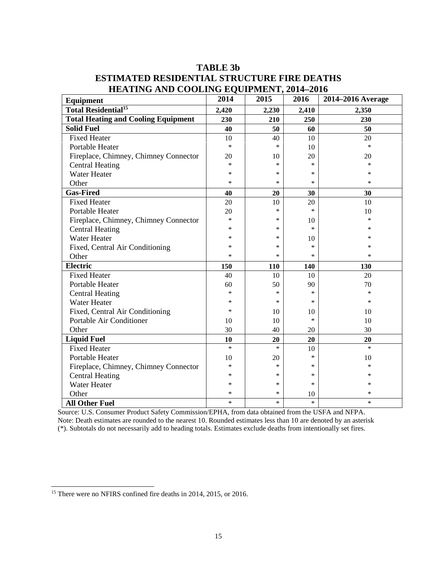| <b>HEATING AND COOLING EQUILMENT, 2014-2010</b><br>Equipment | 2014   | 2015   | 2016   | 2014-2016 Average |
|--------------------------------------------------------------|--------|--------|--------|-------------------|
| <b>Total Residential<sup>15</sup></b>                        | 2,420  | 2,230  | 2,410  | 2,350             |
| <b>Total Heating and Cooling Equipment</b>                   | 230    | 210    | 250    | 230               |
| <b>Solid Fuel</b>                                            | 40     | 50     | 60     | 50                |
| <b>Fixed Heater</b>                                          | 10     | 40     | 10     | 20                |
| <b>Portable Heater</b>                                       | $\ast$ | $\ast$ | 10     | $\ast$            |
| Fireplace, Chimney, Chimney Connector                        | 20     | 10     | 20     | 20                |
| <b>Central Heating</b>                                       | *      | $\ast$ | $\ast$ | $\ast$            |
| <b>Water Heater</b>                                          | $\ast$ | $\ast$ | $\ast$ | $\ast$            |
| Other                                                        | *      | *      | $\ast$ | ∗                 |
| <b>Gas-Fired</b>                                             | 40     | 20     | 30     | 30                |
| <b>Fixed Heater</b>                                          | 20     | 10     | 20     | 10                |
| <b>Portable Heater</b>                                       | 20     | $\ast$ | $\ast$ | 10                |
| Fireplace, Chimney, Chimney Connector                        | *      | *      | 10     | $\ast$            |
| <b>Central Heating</b>                                       | *      | $\ast$ | $\ast$ | $\ast$            |
| Water Heater                                                 | *      | *      | 10     | *                 |
| Fixed, Central Air Conditioning                              | ∗      | *      | $\ast$ | ∗                 |
| Other                                                        | $\ast$ | $\ast$ | $\ast$ | $\ast$            |
| <b>Electric</b>                                              | 150    | 110    | 140    | 130               |
| <b>Fixed Heater</b>                                          | 40     | 10     | 10     | 20                |
| Portable Heater                                              | 60     | 50     | 90     | 70                |
| <b>Central Heating</b>                                       | $\ast$ | $\ast$ | $\ast$ | $\ast$            |
| <b>Water Heater</b>                                          | *      | *      | $\ast$ | $\ast$            |
| Fixed, Central Air Conditioning                              | *      | 10     | 10     | 10                |
| Portable Air Conditioner                                     | 10     | 10     | $\ast$ | 10                |
| Other                                                        | 30     | 40     | 20     | 30                |
| <b>Liquid Fuel</b>                                           | 10     | 20     | 20     | 20                |
| <b>Fixed Heater</b>                                          | $\ast$ | $\ast$ | 10     | $\ast$            |
| <b>Portable Heater</b>                                       | 10     | 20     | $\ast$ | 10                |
| Fireplace, Chimney, Chimney Connector                        | ∗      | *      | *      | *                 |
| <b>Central Heating</b>                                       | *      | $\ast$ | $\ast$ | *                 |
| <b>Water Heater</b>                                          | ∗      | *      | $\ast$ | *                 |
| Other                                                        | *      | $\ast$ | 10     | *                 |
| <b>All Other Fuel</b>                                        | $\ast$ | *      | $\ast$ | $\ast$            |

# **TABLE 3b ESTIMATED RESIDENTIAL STRUCTURE FIRE DEATHS HEATING AND COOLING EQUIPMENT, 2014–2016**

Source: U.S. Consumer Product Safety Commission/EPHA, from data obtained from the USFA and NFPA. Note: Death estimates are rounded to the nearest 10. Rounded estimates less than 10 are denoted by an asterisk (\*). Subtotals do not necessarily add to heading totals. Estimates exclude deaths from intentionally set fires.

<sup>&</sup>lt;sup>15</sup> There were no NFIRS confined fire deaths in 2014, 2015, or 2016.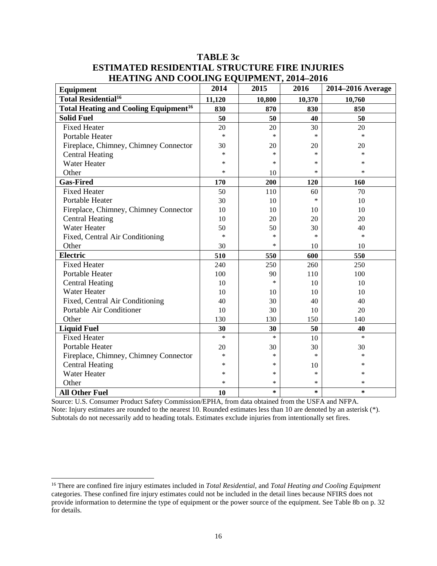| <b>Equipment</b>                                        | 2014   | 2015   | 2016   | 2014-2016 Average |
|---------------------------------------------------------|--------|--------|--------|-------------------|
| <b>Total Residential<sup>16</sup></b>                   | 11,120 | 10,800 | 10,370 | 10,760            |
| <b>Total Heating and Cooling Equipment<sup>16</sup></b> | 830    | 870    | 830    | 850               |
| <b>Solid Fuel</b>                                       | 50     | 50     | 40     | 50                |
| <b>Fixed Heater</b>                                     | 20     | 20     | 30     | 20                |
| Portable Heater                                         | $\ast$ | $\ast$ | $\ast$ | $\ast$            |
| Fireplace, Chimney, Chimney Connector                   | 30     | 20     | 20     | 20                |
| <b>Central Heating</b>                                  | *      | $\ast$ | $\ast$ | $\ast$            |
| <b>Water Heater</b>                                     | *      | $\ast$ | $\ast$ | $\ast$            |
| Other                                                   | *      | 10     | $\ast$ | $\ast$            |
| <b>Gas-Fired</b>                                        | 170    | 200    | 120    | 160               |
| <b>Fixed Heater</b>                                     | 50     | 110    | 60     | 70                |
| <b>Portable Heater</b>                                  | 30     | 10     | $\ast$ | 10                |
| Fireplace, Chimney, Chimney Connector                   | 10     | 10     | 10     | 10                |
| <b>Central Heating</b>                                  | 10     | 20     | 20     | 20                |
| <b>Water Heater</b>                                     | 50     | 50     | 30     | 40                |
| Fixed, Central Air Conditioning                         | $\ast$ | *      | $\ast$ | $\ast$            |
| Other                                                   | 30     | *      | 10     | 10                |
| <b>Electric</b>                                         | 510    | 550    | 600    | 550               |
| <b>Fixed Heater</b>                                     | 240    | 250    | 260    | 250               |
| Portable Heater                                         | 100    | 90     | 110    | 100               |
| <b>Central Heating</b>                                  | 10     | $\ast$ | 10     | 10                |
| <b>Water Heater</b>                                     | 10     | 10     | 10     | 10                |
| Fixed, Central Air Conditioning                         | 40     | 30     | 40     | 40                |
| Portable Air Conditioner                                | 10     | 30     | 10     | 20                |
| Other                                                   | 130    | 130    | 150    | 140               |
| <b>Liquid Fuel</b>                                      | 30     | 30     | 50     | 40                |
| <b>Fixed Heater</b>                                     | $\ast$ | $\ast$ | 10     | $\ast$            |
| Portable Heater                                         | 20     | 30     | 30     | 30                |
| Fireplace, Chimney, Chimney Connector                   | $\ast$ | $\ast$ | $\ast$ | $\ast$            |
| <b>Central Heating</b>                                  | *      | *      | 10     | *                 |
| <b>Water Heater</b>                                     | *      | *      | $\ast$ | $\ast$            |
| Other                                                   | $\ast$ | *      | $\ast$ | $\ast$            |
| <b>All Other Fuel</b>                                   | 10     | *      | $\ast$ | $\ast$            |

# **TABLE 3c ESTIMATED RESIDENTIAL STRUCTURE FIRE INJURIES HEATING AND COOLING EQUIPMENT, 2014–2016**

Source: U.S. Consumer Product Safety Commission/EPHA, from data obtained from the USFA and NFPA. Note: Injury estimates are rounded to the nearest 10. Rounded estimates less than 10 are denoted by an asterisk (\*). Subtotals do not necessarily add to heading totals. Estimates exclude injuries from intentionally set fires.

 <sup>16</sup> There are confined fire injury estimates included in *Total Residential,* and *Total Heating and Cooling Equipment*  categories. These confined fire injury estimates could not be included in the detail lines because NFIRS does not provide information to determine the type of equipment or the power source of the equipment. See Table 8b on p. 32 for details.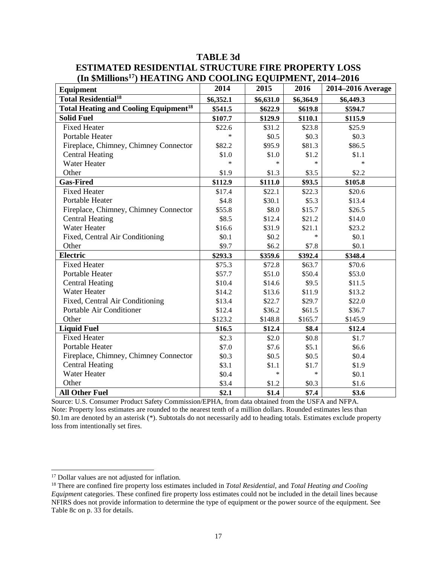| <b>Equipment</b>                                        | 2014      | 2015      | 2016      | 2014–2016 Average |
|---------------------------------------------------------|-----------|-----------|-----------|-------------------|
| <b>Total Residential<sup>18</sup></b>                   | \$6,352.1 | \$6,631.0 | \$6,364.9 | \$6,449.3         |
| <b>Total Heating and Cooling Equipment<sup>18</sup></b> | \$541.5   | \$622.9   | \$619.8   | \$594.7           |
| <b>Solid Fuel</b>                                       | \$107.7   | \$129.9   | \$110.1   | \$115.9           |
| <b>Fixed Heater</b>                                     | \$22.6    | \$31.2    | \$23.8    | \$25.9            |
| Portable Heater                                         | $\ast$    | \$0.5     | \$0.3\$   | \$0.3\$           |
| Fireplace, Chimney, Chimney Connector                   | \$82.2    | \$95.9    | \$81.3    | \$86.5            |
| <b>Central Heating</b>                                  | \$1.0     | \$1.0     | \$1.2     | \$1.1             |
| Water Heater                                            | $\ast$    | $\ast$    | $\ast$    | $\ast$            |
| Other                                                   | \$1.9     | \$1.3     | \$3.5     | \$2.2             |
| <b>Gas-Fired</b>                                        | \$112.9   | \$111.0   | \$93.5    | \$105.8           |
| <b>Fixed Heater</b>                                     | \$17.4    | \$22.1    | \$22.3    | \$20.6            |
| Portable Heater                                         | \$4.8     | \$30.1    | \$5.3\$   | \$13.4            |
| Fireplace, Chimney, Chimney Connector                   | \$55.8    | \$8.0     | \$15.7    | \$26.5            |
| <b>Central Heating</b>                                  | \$8.5     | \$12.4    | \$21.2    | \$14.0            |
| Water Heater                                            | \$16.6    | \$31.9    | \$21.1    | \$23.2            |
| Fixed, Central Air Conditioning                         | \$0.1     | \$0.2\$   | $\ast$    | \$0.1             |
| Other                                                   | \$9.7     | \$6.2\$   | \$7.8     | \$0.1             |
| Electric                                                | \$293.3   | \$359.6   | \$392.4   | \$348.4           |
| <b>Fixed Heater</b>                                     | \$75.3    | \$72.8    | \$63.7    | \$70.6            |
| Portable Heater                                         | \$57.7    | \$51.0    | \$50.4    | \$53.0            |
| <b>Central Heating</b>                                  | \$10.4    | \$14.6    | \$9.5     | \$11.5            |
| <b>Water Heater</b>                                     | \$14.2    | \$13.6    | \$11.9    | \$13.2            |
| Fixed, Central Air Conditioning                         | \$13.4    | \$22.7    | \$29.7    | \$22.0            |
| Portable Air Conditioner                                | \$12.4    | \$36.2    | \$61.5    | \$36.7            |
| Other                                                   | \$123.2   | \$148.8   | \$165.7   | \$145.9           |
| <b>Liquid Fuel</b>                                      | \$16.5    | \$12.4    | \$8.4     | \$12.4            |
| <b>Fixed Heater</b>                                     | \$2.3     | \$2.0     | \$0.8\$   | \$1.7             |
| Portable Heater                                         | \$7.0     | \$7.6     | \$5.1     | \$6.6             |
| Fireplace, Chimney, Chimney Connector                   | \$0.3\$   | \$0.5     | \$0.5     | \$0.4             |
| <b>Central Heating</b>                                  | \$3.1     | \$1.1     | \$1.7     | \$1.9             |
| <b>Water Heater</b>                                     | \$0.4     | $\ast$    | $\ast$    | \$0.1             |
| Other                                                   | \$3.4     | \$1.2     | \$0.3\$   | \$1.6             |
| <b>All Other Fuel</b>                                   | \$2.1     | \$1.4     | \$7.4     | \$3.6             |

# **TABLE 3d ESTIMATED RESIDENTIAL STRUCTURE FIRE PROPERTY LOSS (In \$Millions17) HEATING AND COOLING EQUIPMENT, 2014–2016**

Source: U.S. Consumer Product Safety Commission/EPHA, from data obtained from the USFA and NFPA. Note: Property loss estimates are rounded to the nearest tenth of a million dollars. Rounded estimates less than \$0.1m are denoted by an asterisk (\*). Subtotals do not necessarily add to heading totals. Estimates exclude property loss from intentionally set fires.

<sup>&</sup>lt;sup>17</sup> Dollar values are not adjusted for inflation.

<sup>18</sup> There are confined fire property loss estimates included in *Total Residential,* and *Total Heating and Cooling Equipment* categories. These confined fire property loss estimates could not be included in the detail lines because NFIRS does not provide information to determine the type of equipment or the power source of the equipment. See Table 8c on p. 33 for details.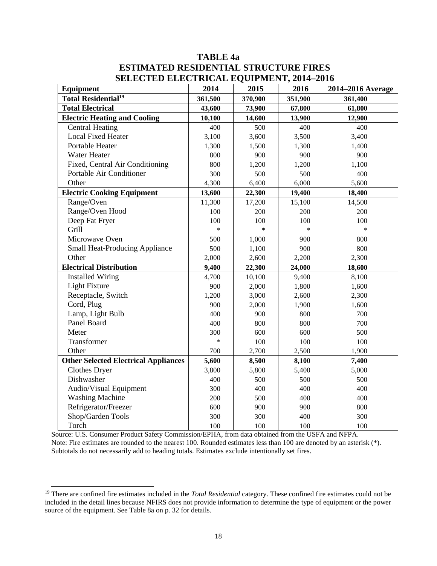| <b>TABLE 4a</b>                                 |
|-------------------------------------------------|
| <b>ESTIMATED RESIDENTIAL STRUCTURE FIRES</b>    |
| <b>SELECTED ELECTRICAL EQUIPMENT, 2014–2016</b> |

| Equipment                                   | 2014    | 2015    | 2016    | 2014-2016 Average |
|---------------------------------------------|---------|---------|---------|-------------------|
| <b>Total Residential<sup>19</sup></b>       | 361,500 | 370,900 | 351,900 | 361,400           |
| <b>Total Electrical</b>                     | 43,600  | 73,900  | 67,800  | 61,800            |
| <b>Electric Heating and Cooling</b>         | 10,100  | 14,600  | 13,900  | 12,900            |
| <b>Central Heating</b>                      | 400     | 500     | 400     | 400               |
| <b>Local Fixed Heater</b>                   | 3,100   | 3,600   | 3,500   | 3,400             |
| Portable Heater                             | 1,300   | 1,500   | 1,300   | 1,400             |
| Water Heater                                | 800     | 900     | 900     | 900               |
| Fixed, Central Air Conditioning             | 800     | 1,200   | 1,200   | 1,100             |
| Portable Air Conditioner                    | 300     | 500     | 500     | 400               |
| Other                                       | 4,300   | 6,400   | 6,000   | 5,600             |
| <b>Electric Cooking Equipment</b>           | 13,600  | 22,300  | 19,400  | 18,400            |
| Range/Oven                                  | 11,300  | 17,200  | 15,100  | 14,500            |
| Range/Oven Hood                             | 100     | 200     | 200     | 200               |
| Deep Fat Fryer                              | 100     | 100     | 100     | 100               |
| Grill                                       | $\ast$  | $\ast$  | $\ast$  | $\ast$            |
| Microwave Oven                              | 500     | 1,000   | 900     | 800               |
| <b>Small Heat-Producing Appliance</b>       | 500     | 1,100   | 900     | 800               |
| Other                                       | 2,000   | 2,600   | 2,200   | 2,300             |
| <b>Electrical Distribution</b>              | 9,400   | 22,300  | 24,000  | 18,600            |
| <b>Installed Wiring</b>                     | 4,700   | 10,100  | 9,400   | 8,100             |
| Light Fixture                               | 900     | 2,000   | 1,800   | 1,600             |
| Receptacle, Switch                          | 1,200   | 3,000   | 2,600   | 2,300             |
| Cord, Plug                                  | 900     | 2,000   | 1,900   | 1,600             |
| Lamp, Light Bulb                            | 400     | 900     | 800     | 700               |
| Panel Board                                 | 400     | 800     | 800     | 700               |
| Meter                                       | 300     | 600     | 600     | 500               |
| Transformer                                 | $\ast$  | 100     | 100     | 100               |
| Other                                       | 700     | 2,700   | 2,500   | 1,900             |
| <b>Other Selected Electrical Appliances</b> | 5,600   | 8,500   | 8,100   | 7,400             |
| Clothes Dryer                               | 3,800   | 5,800   | 5,400   | 5,000             |
| Dishwasher                                  | 400     | 500     | 500     | 500               |
| Audio/Visual Equipment                      | 300     | 400     | 400     | 400               |
| <b>Washing Machine</b>                      | 200     | 500     | 400     | 400               |
| Refrigerator/Freezer                        | 600     | 900     | 900     | 800               |
| Shop/Garden Tools                           | 300     | 300     | 400     | 300               |
| Torch                                       | 100     | 100     | 100     | 100               |

Source: U.S. Consumer Product Safety Commission/EPHA, from data obtained from the USFA and NFPA. Note: Fire estimates are rounded to the nearest 100. Rounded estimates less than 100 are denoted by an asterisk (\*). Subtotals do not necessarily add to heading totals. Estimates exclude intentionally set fires.

 <sup>19</sup> There are confined fire estimates included in the *Total Residential* category. These confined fire estimates could not be included in the detail lines because NFIRS does not provide information to determine the type of equipment or the power source of the equipment. See Table 8a on p. 32 for details.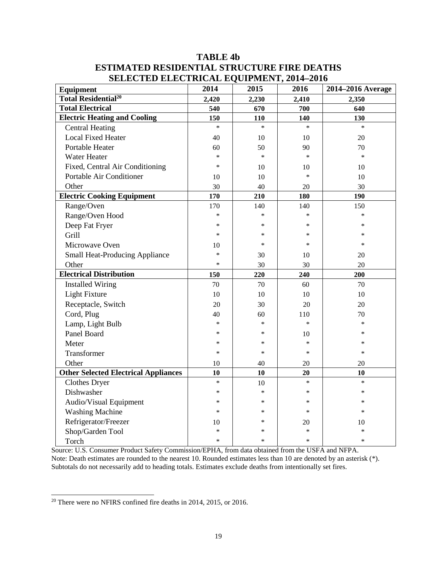# **TABLE 4b ESTIMATED RESIDENTIAL STRUCTURE FIRE DEATHS SELECTED ELECTRICAL EQUIPMENT, 2014–2016**

| SLLLCTLD LLLCTMC/IL LQCH ML 11, 2014 2010<br>Equipment | 2014   | 2015       | 2016   | 2014-2016 Average |
|--------------------------------------------------------|--------|------------|--------|-------------------|
| <b>Total Residential<sup>20</sup></b>                  | 2,420  | 2,230      | 2,410  | 2,350             |
| <b>Total Electrical</b>                                | 540    | 670        | 700    | 640               |
| <b>Electric Heating and Cooling</b>                    | 150    | <b>110</b> | 140    | 130               |
| <b>Central Heating</b>                                 | $\ast$ | $\ast$     | $\ast$ | $\ast$            |
| <b>Local Fixed Heater</b>                              | 40     | 10         | 10     | 20                |
| Portable Heater                                        | 60     | 50         | 90     | 70                |
| Water Heater                                           | $\ast$ | $\ast$     | $\ast$ | $\ast$            |
| Fixed, Central Air Conditioning                        | $\ast$ | 10         | 10     | 10                |
| Portable Air Conditioner                               | 10     | 10         | $\ast$ | 10                |
| Other                                                  | 30     | 40         | 20     | 30                |
| <b>Electric Cooking Equipment</b>                      | 170    | 210        | 180    | 190               |
| Range/Oven                                             | 170    | 140        | 140    | 150               |
| Range/Oven Hood                                        | $\ast$ | $\ast$     | $\ast$ | $\ast$            |
| Deep Fat Fryer                                         | *      | ∗          | ∗      | *                 |
| Grill                                                  | $\ast$ | $\ast$     | $\ast$ | *                 |
| Microwave Oven                                         | 10     | $\ast$     | $\ast$ | *                 |
| <b>Small Heat-Producing Appliance</b>                  | $\ast$ | 30         | 10     | 20                |
| Other                                                  | $\ast$ | 30         | 30     | 20                |
| <b>Electrical Distribution</b>                         | 150    | 220        | 240    | 200               |
| <b>Installed Wiring</b>                                | 70     | 70         | 60     | 70                |
| <b>Light Fixture</b>                                   | 10     | 10         | 10     | 10                |
| Receptacle, Switch                                     | 20     | 30         | 20     | 20                |
| Cord, Plug                                             | 40     | 60         | 110    | 70                |
| Lamp, Light Bulb                                       | $\ast$ | $\ast$     | $\ast$ | $\ast$            |
| Panel Board                                            | $\ast$ | $\ast$     | 10     | $\ast$            |
| Meter                                                  | *      | $\ast$     | $\ast$ | $\ast$            |
| Transformer                                            | $\ast$ | $\ast$     | $\ast$ | $\ast$            |
| Other                                                  | 10     | 40         | 20     | 20                |
| <b>Other Selected Electrical Appliances</b>            | 10     | 10         | 20     | 10                |
| <b>Clothes Dryer</b>                                   | $\ast$ | 10         | $\ast$ | $\ast$            |
| Dishwasher                                             | $\ast$ | $\ast$     | $\ast$ | $\ast$            |
| Audio/Visual Equipment                                 | $\ast$ | $\ast$     | $\ast$ | $\ast$            |
| <b>Washing Machine</b>                                 | $\ast$ | ∗          | $\ast$ | $\ast$            |
| Refrigerator/Freezer                                   | 10     | $\ast$     | 20     | 10                |
| Shop/Garden Tool                                       | $\ast$ | $\ast$     | $\ast$ | $\ast$            |
| Torch                                                  | $\ast$ | $\ast$     | $\ast$ | $\ast$            |

Source: U.S. Consumer Product Safety Commission/EPHA, from data obtained from the USFA and NFPA. Note: Death estimates are rounded to the nearest 10. Rounded estimates less than 10 are denoted by an asterisk (\*). Subtotals do not necessarily add to heading totals. Estimates exclude deaths from intentionally set fires.

<sup>&</sup>lt;sup>20</sup> There were no NFIRS confined fire deaths in 2014, 2015, or 2016.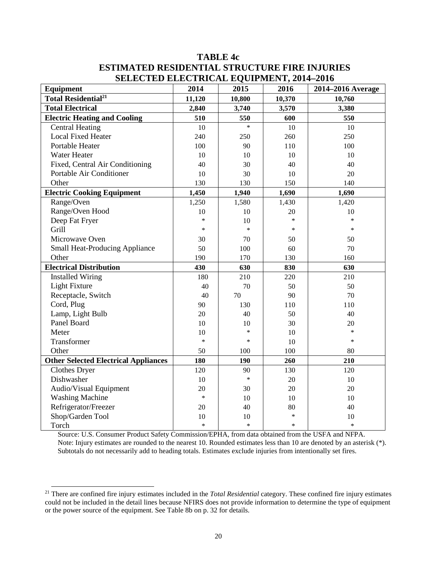# **TABLE 4c ESTIMATED RESIDENTIAL STRUCTURE FIRE INJURIES SELECTED ELECTRICAL EQUIPMENT, 2014–2016**

| <b>Equipment</b>                            | $21.40$ $-1.40$ $-1.40$ $-1.40$ $-1.40$<br>2014 | 2015   | 2016   | 2014-2016 Average |
|---------------------------------------------|-------------------------------------------------|--------|--------|-------------------|
| <b>Total Residential<sup>21</sup></b>       | 11,120                                          | 10,800 | 10,370 | 10,760            |
| <b>Total Electrical</b>                     | 2,840                                           | 3,740  | 3,570  | 3,380             |
| <b>Electric Heating and Cooling</b>         | 510                                             | 550    | 600    | 550               |
| <b>Central Heating</b>                      | 10                                              | $\ast$ | 10     | 10                |
| <b>Local Fixed Heater</b>                   | 240                                             | 250    | 260    | 250               |
| Portable Heater                             | 100                                             | 90     | 110    | 100               |
| <b>Water Heater</b>                         | 10                                              | 10     | 10     | 10                |
| Fixed, Central Air Conditioning             | 40                                              | 30     | 40     | 40                |
| Portable Air Conditioner                    | 10                                              | 30     | 10     | 20                |
| Other                                       | 130                                             | 130    | 150    | 140               |
| <b>Electric Cooking Equipment</b>           | 1,450                                           | 1,940  | 1,690  | 1,690             |
| Range/Oven                                  | 1,250                                           | 1,580  | 1,430  | 1,420             |
| Range/Oven Hood                             | 10                                              | 10     | 20     | 10                |
| Deep Fat Fryer                              | $\ast$                                          | 10     | $\ast$ | $\ast$            |
| Grill                                       | $\ast$                                          | $\ast$ | $\ast$ | $\ast$            |
| Microwave Oven                              | 30                                              | 70     | 50     | 50                |
| <b>Small Heat-Producing Appliance</b>       | 50                                              | 100    | 60     | 70                |
| Other                                       | 190                                             | 170    | 130    | 160               |
| <b>Electrical Distribution</b>              | 430                                             | 630    | 830    | 630               |
| <b>Installed Wiring</b>                     | 180                                             | 210    | 220    | 210               |
| Light Fixture                               | 40                                              | 70     | 50     | 50                |
| Receptacle, Switch                          | 40                                              | 70     | 90     | 70                |
| Cord, Plug                                  | 90                                              | 130    | 110    | 110               |
| Lamp, Light Bulb                            | 20                                              | 40     | 50     | 40                |
| Panel Board                                 | 10                                              | 10     | 30     | 20                |
| Meter                                       | 10                                              | $\ast$ | 10     | $\ast$            |
| Transformer                                 | $\ast$                                          | $\ast$ | 10     | $\ast$            |
| Other                                       | 50                                              | 100    | 100    | 80                |
| <b>Other Selected Electrical Appliances</b> | 180                                             | 190    | 260    | 210               |
| Clothes Dryer                               | 120                                             | 90     | 130    | 120               |
| Dishwasher                                  | 10                                              | $\ast$ | 20     | 10                |
| Audio/Visual Equipment                      | 20                                              | 30     | 20     | 20                |
| <b>Washing Machine</b>                      | $\ast$                                          | 10     | 10     | 10                |
| Refrigerator/Freezer                        | 20                                              | 40     | 80     | 40                |
| Shop/Garden Tool                            | 10                                              | 10     | $\ast$ | 10                |
| Torch                                       | $\ast$                                          | $\ast$ | $\ast$ | $\ast$            |

Source: U.S. Consumer Product Safety Commission/EPHA, from data obtained from the USFA and NFPA. Note: Injury estimates are rounded to the nearest 10. Rounded estimates less than 10 are denoted by an asterisk  $(*)$ . Subtotals do not necessarily add to heading totals. Estimates exclude injuries from intentionally set fires.

<sup>&</sup>lt;sup>21</sup> There are confined fire injury estimates included in the *Total Residential* category. These confined fire injury estimates could not be included in the detail lines because NFIRS does not provide information to determine the type of equipment or the power source of the equipment. See Table 8b on p. 32 for details.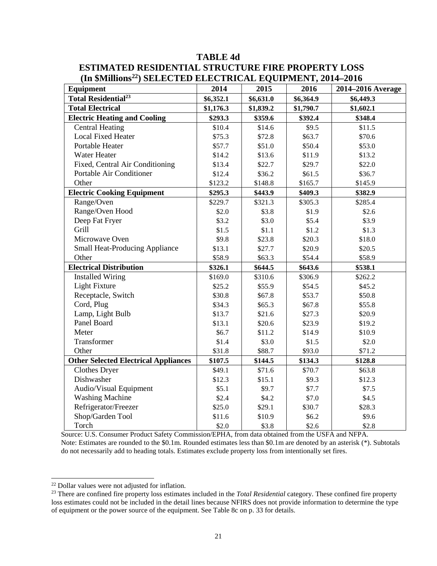# **TABLE 4d ESTIMATED RESIDENTIAL STRUCTURE FIRE PROPERTY LOSS (In \$Millions22) SELECTED ELECTRICAL EQUIPMENT, 2014–2016**

| <b>Equipment</b>                            | 2014      | 2015      | 2016      | 2014–2016 Average |
|---------------------------------------------|-----------|-----------|-----------|-------------------|
| <b>Total Residential</b> <sup>23</sup>      | \$6,352.1 | \$6,631.0 | \$6,364.9 | \$6,449.3         |
| <b>Total Electrical</b>                     | \$1,176.3 | \$1,839.2 | \$1,790.7 | \$1,602.1         |
| <b>Electric Heating and Cooling</b>         | \$293.3   | \$359.6   | \$392.4   | \$348.4           |
| <b>Central Heating</b>                      | \$10.4    | \$14.6    | \$9.5     | \$11.5            |
| <b>Local Fixed Heater</b>                   | \$75.3    | \$72.8    | \$63.7    | \$70.6            |
| Portable Heater                             | \$57.7    | \$51.0    | \$50.4    | \$53.0            |
| Water Heater                                | \$14.2    | \$13.6    | \$11.9    | \$13.2            |
| Fixed, Central Air Conditioning             | \$13.4    | \$22.7    | \$29.7    | \$22.0            |
| Portable Air Conditioner                    | \$12.4    | \$36.2    | \$61.5    | \$36.7            |
| Other                                       | \$123.2   | \$148.8   | \$165.7   | \$145.9           |
| <b>Electric Cooking Equipment</b>           | \$295.3   | \$443.9   | \$409.3   | \$382.9           |
| Range/Oven                                  | \$229.7   | \$321.3   | \$305.3   | \$285.4           |
| Range/Oven Hood                             | \$2.0     | \$3.8     | \$1.9     | \$2.6             |
| Deep Fat Fryer                              | \$3.2     | \$3.0     | \$5.4     | \$3.9             |
| Grill                                       | \$1.5     | \$1.1     | \$1.2     | \$1.3             |
| Microwave Oven                              | \$9.8     | \$23.8    | \$20.3    | \$18.0            |
| <b>Small Heat-Producing Appliance</b>       | \$13.1    | \$27.7    | \$20.9    | \$20.5            |
| Other                                       | \$58.9    | \$63.3    | \$54.4    | \$58.9            |
| <b>Electrical Distribution</b>              | \$326.1   | \$644.5   | \$643.6   | \$538.1           |
| <b>Installed Wiring</b>                     | \$169.0   | \$310.6   | \$306.9   | \$262.2           |
| Light Fixture                               | \$25.2    | \$55.9    | \$54.5    | \$45.2            |
| Receptacle, Switch                          | \$30.8    | \$67.8    | \$53.7    | \$50.8            |
| Cord, Plug                                  | \$34.3    | \$65.3    | \$67.8    | \$55.8            |
| Lamp, Light Bulb                            | \$13.7    | \$21.6    | \$27.3    | \$20.9            |
| Panel Board                                 | \$13.1    | \$20.6    | \$23.9    | \$19.2            |
| Meter                                       | \$6.7     | \$11.2    | \$14.9    | \$10.9            |
| Transformer                                 | \$1.4     | \$3.0     | \$1.5     | \$2.0             |
| Other                                       | \$31.8    | \$88.7    | \$93.0    | \$71.2            |
| <b>Other Selected Electrical Appliances</b> | \$107.5   | \$144.5   | \$134.3   | \$128.8           |
| <b>Clothes Dryer</b>                        | \$49.1    | \$71.6    | \$70.7    | \$63.8            |
| Dishwasher                                  | \$12.3    | \$15.1    | \$9.3     | \$12.3            |
| Audio/Visual Equipment                      | \$5.1     | \$9.7     | \$7.7     | \$7.5             |
| <b>Washing Machine</b>                      | \$2.4     | \$4.2\$   | \$7.0     | \$4.5             |
| Refrigerator/Freezer                        | \$25.0    | \$29.1    | \$30.7    | \$28.3            |
| Shop/Garden Tool                            | \$11.6    | \$10.9    | \$6.2\$   | \$9.6             |
| Torch                                       | \$2.0     | \$3.8     | \$2.6     | \$2.8             |

Source: U.S. Consumer Product Safety Commission/EPHA, from data obtained from the USFA and NFPA. Note: Estimates are rounded to the \$0.1m. Rounded estimates less than \$0.1m are denoted by an asterisk (\*). Subtotals do not necessarily add to heading totals. Estimates exclude property loss from intentionally set fires.

 <sup>22</sup> Dollar values were not adjusted for inflation.

<sup>&</sup>lt;sup>23</sup> There are confined fire property loss estimates included in the *Total Residential* category. These confined fire property loss estimates could not be included in the detail lines because NFIRS does not provide information to determine the type of equipment or the power source of the equipment. See Table 8c on p. 33 for details.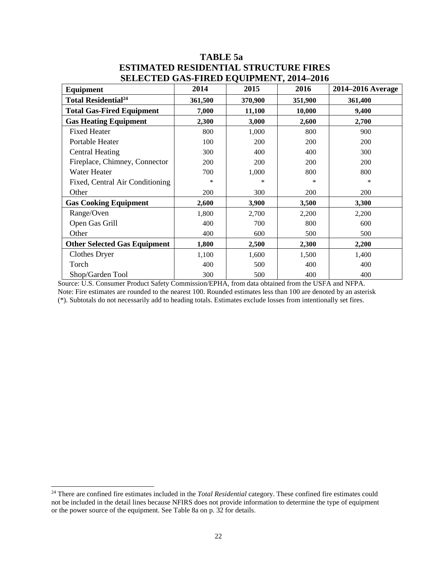| <b>Equipment</b>                       | 2014    | 2015    | 2016    | 2014–2016 Average |
|----------------------------------------|---------|---------|---------|-------------------|
| <b>Total Residential</b> <sup>24</sup> | 361,500 | 370,900 | 351,900 | 361,400           |
| <b>Total Gas-Fired Equipment</b>       | 7,000   | 11,100  | 10,000  | 9,400             |
| <b>Gas Heating Equipment</b>           | 2,300   | 3,000   | 2,600   | 2,700             |
| <b>Fixed Heater</b>                    | 800     | 1,000   | 800     | 900               |
| Portable Heater                        | 100     | 200     | 200     | 200               |
| <b>Central Heating</b>                 | 300     | 400     | 400     | 300               |
| Fireplace, Chimney, Connector          | 200     | 200     | 200     | 200               |
| Water Heater                           | 700     | 1,000   | 800     | 800               |
| Fixed, Central Air Conditioning        | *       | ∗       | $\ast$  | $\ast$            |
| Other                                  | 200     | 300     | 200     | 200               |
| <b>Gas Cooking Equipment</b>           | 2,600   | 3,900   | 3,500   | 3,300             |
| Range/Oven                             | 1,800   | 2,700   | 2,200   | 2,200             |
| Open Gas Grill                         | 400     | 700     | 800     | 600               |
| Other                                  | 400     | 600     | 500     | 500               |
| <b>Other Selected Gas Equipment</b>    | 1,800   | 2,500   | 2,300   | 2,200             |
| <b>Clothes Dryer</b>                   | 1,100   | 1,600   | 1,500   | 1,400             |
| Torch                                  | 400     | 500     | 400     | 400               |
| Shop/Garden Tool                       | 300     | 500     | 400     | 400               |

# **TABLE 5a ESTIMATED RESIDENTIAL STRUCTURE FIRES SELECTED GAS-FIRED EQUIPMENT, 2014–2016**

Source: U.S. Consumer Product Safety Commission/EPHA, from data obtained from the USFA and NFPA. Note: Fire estimates are rounded to the nearest 100. Rounded estimates less than 100 are denoted by an asterisk (\*). Subtotals do not necessarily add to heading totals. Estimates exclude losses from intentionally set fires.

<sup>&</sup>lt;sup>24</sup> There are confined fire estimates included in the *Total Residential* category. These confined fire estimates could not be included in the detail lines because NFIRS does not provide information to determine the type of equipment or the power source of the equipment. See Table 8a on p. 32 for details.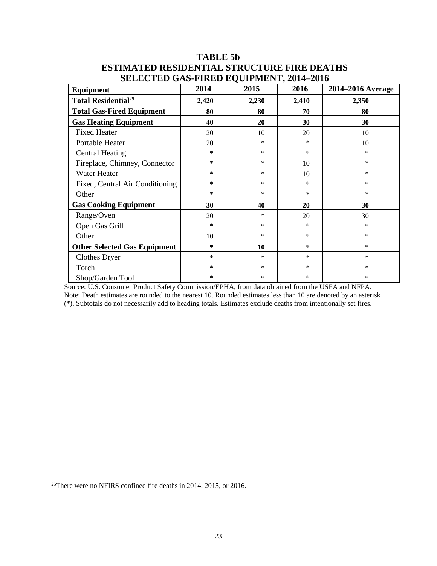| <b>Equipment</b>                      | 2014   | 2015   | 2016   | 2014–2016 Average |
|---------------------------------------|--------|--------|--------|-------------------|
| <b>Total Residential<sup>25</sup></b> | 2,420  | 2,230  | 2,410  | 2,350             |
| <b>Total Gas-Fired Equipment</b>      | 80     | 80     | 70     | 80                |
| <b>Gas Heating Equipment</b>          | 40     | 20     | 30     | 30                |
| <b>Fixed Heater</b>                   | 20     | 10     | 20     | 10                |
| Portable Heater                       | 20     | $\ast$ | $\ast$ | 10                |
| <b>Central Heating</b>                | ∗      | ∗      | ∗      | *                 |
| Fireplace, Chimney, Connector         | *      | *      | 10     | $\ast$            |
| Water Heater                          | *      | *      | 10     | *                 |
| Fixed, Central Air Conditioning       | *      | $\ast$ | $\ast$ | *                 |
| Other                                 | *      | $\ast$ | ∗      | *                 |
| <b>Gas Cooking Equipment</b>          | 30     | 40     | 20     | 30                |
| Range/Oven                            | 20     | *      | 20     | 30                |
| Open Gas Grill                        | ∗      | $\ast$ | *      | $\ast$            |
| Other                                 | 10     | $\ast$ | $\ast$ | $\ast$            |
| <b>Other Selected Gas Equipment</b>   | ∗      | 10     | ∗      | $\ast$            |
| <b>Clothes Dryer</b>                  | $\ast$ | $\ast$ | $\ast$ | $\ast$            |
| Torch                                 | *      | $\ast$ | *      | *                 |
| Shop/Garden Tool                      | *      | ∗      | $\ast$ | *                 |

# **TABLE 5b ESTIMATED RESIDENTIAL STRUCTURE FIRE DEATHS SELECTED GAS-FIRED EQUIPMENT, 2014–2016**

Source: U.S. Consumer Product Safety Commission/EPHA, from data obtained from the USFA and NFPA. Note: Death estimates are rounded to the nearest 10. Rounded estimates less than 10 are denoted by an asterisk (\*). Subtotals do not necessarily add to heading totals. Estimates exclude deaths from intentionally set fires.

 <sup>25</sup>There were no NFIRS confined fire deaths in 2014, 2015, or 2016.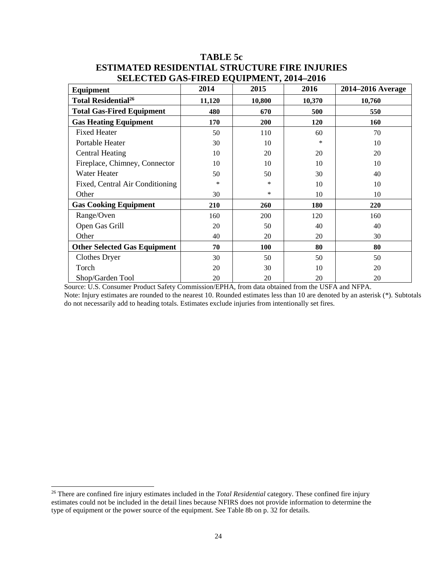| Equipment                             | 2014   | 2015   | 2016   | 2014–2016 Average |
|---------------------------------------|--------|--------|--------|-------------------|
| <b>Total Residential<sup>26</sup></b> | 11,120 | 10,800 | 10,370 | 10,760            |
| <b>Total Gas-Fired Equipment</b>      | 480    | 670    | 500    | 550               |
| <b>Gas Heating Equipment</b>          | 170    | 200    | 120    | 160               |
| <b>Fixed Heater</b>                   | 50     | 110    | 60     | 70                |
| Portable Heater                       | 30     | 10     | $\ast$ | 10                |
| <b>Central Heating</b>                | 10     | 20     | 20     | 20                |
| Fireplace, Chimney, Connector         | 10     | 10     | 10     | 10                |
| Water Heater                          | 50     | 50     | 30     | 40                |
| Fixed, Central Air Conditioning       | $\ast$ | *      | 10     | 10                |
| Other                                 | 30     | $\ast$ | 10     | 10                |
| <b>Gas Cooking Equipment</b>          | 210    | 260    | 180    | 220               |
| Range/Oven                            | 160    | 200    | 120    | 160               |
| Open Gas Grill                        | 20     | 50     | 40     | 40                |
| Other                                 | 40     | 20     | 20     | 30                |
| <b>Other Selected Gas Equipment</b>   | 70     | 100    | 80     | 80                |
| <b>Clothes Dryer</b>                  | 30     | 50     | 50     | 50                |
| Torch                                 | 20     | 30     | 10     | 20                |
| Shop/Garden Tool                      | 20     | 20     | 20     | 20                |

# **TABLE 5c ESTIMATED RESIDENTIAL STRUCTURE FIRE INJURIES SELECTED GAS-FIRED EQUIPMENT, 2014–2016**

Source: U.S. Consumer Product Safety Commission/EPHA, from data obtained from the USFA and NFPA.

Note: Injury estimates are rounded to the nearest 10. Rounded estimates less than 10 are denoted by an asterisk (\*). Subtotals do not necessarily add to heading totals. Estimates exclude injuries from intentionally set fires.

 <sup>26</sup> There are confined fire injury estimates included in the *Total Residential* category. These confined fire injury estimates could not be included in the detail lines because NFIRS does not provide information to determine the type of equipment or the power source of the equipment. See Table 8b on p. 32 for details.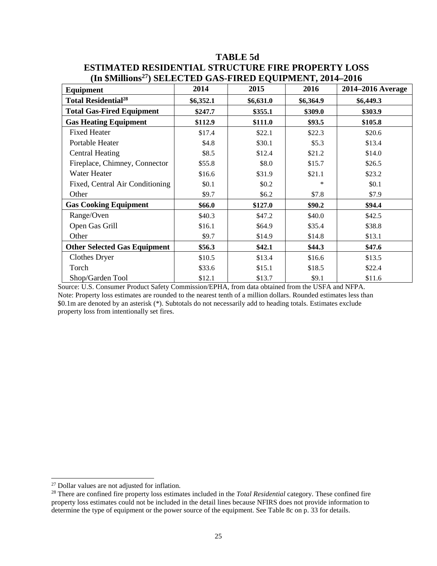| Equipment                             | 2014      | 2015      | 2016      | 2014–2016 Average |
|---------------------------------------|-----------|-----------|-----------|-------------------|
| <b>Total Residential<sup>28</sup></b> | \$6,352.1 | \$6,631.0 | \$6,364.9 | \$6,449.3         |
| <b>Total Gas-Fired Equipment</b>      | \$247.7   | \$355.1   | \$309.0   | \$303.9           |
| <b>Gas Heating Equipment</b>          | \$112.9   | \$111.0   | \$93.5    | \$105.8           |
| <b>Fixed Heater</b>                   | \$17.4    | \$22.1    | \$22.3    | \$20.6            |
| Portable Heater                       | \$4.8     | \$30.1    | \$5.3\$   | \$13.4            |
| <b>Central Heating</b>                | \$8.5     | \$12.4    | \$21.2    | \$14.0            |
| Fireplace, Chimney, Connector         | \$55.8    | \$8.0     | \$15.7    | \$26.5            |
| Water Heater                          | \$16.6    | \$31.9    | \$21.1    | \$23.2            |
| Fixed, Central Air Conditioning       | \$0.1     | \$0.2\$   | *         | \$0.1             |
| Other                                 | \$9.7     | \$6.2\$   | \$7.8     | \$7.9             |
| <b>Gas Cooking Equipment</b>          | \$66.0    | \$127.0   | \$90.2    | \$94.4            |
| Range/Oven                            | \$40.3    | \$47.2    | \$40.0    | \$42.5            |
| Open Gas Grill                        | \$16.1    | \$64.9    | \$35.4    | \$38.8            |
| Other                                 | \$9.7     | \$14.9    | \$14.8    | \$13.1            |
| <b>Other Selected Gas Equipment</b>   | \$56.3    | \$42.1    | \$44.3    | \$47.6            |
| <b>Clothes Dryer</b>                  | \$10.5    | \$13.4    | \$16.6    | \$13.5            |
| Torch                                 | \$33.6    | \$15.1    | \$18.5    | \$22.4            |
| Shop/Garden Tool                      | \$12.1    | \$13.7    | \$9.1     | \$11.6            |

# **TABLE 5d ESTIMATED RESIDENTIAL STRUCTURE FIRE PROPERTY LOSS (In \$Millions27) SELECTED GAS-FIRED EQUIPMENT, 2014–2016**

Source: U.S. Consumer Product Safety Commission/EPHA, from data obtained from the USFA and NFPA. Note: Property loss estimates are rounded to the nearest tenth of a million dollars. Rounded estimates less than \$0.1m are denoted by an asterisk (\*). Subtotals do not necessarily add to heading totals. Estimates exclude property loss from intentionally set fires.

 <sup>27</sup> Dollar values are not adjusted for inflation.

<sup>&</sup>lt;sup>28</sup> There are confined fire property loss estimates included in the *Total Residential* category. These confined fire property loss estimates could not be included in the detail lines because NFIRS does not provide information to determine the type of equipment or the power source of the equipment. See Table 8c on p. 33 for details.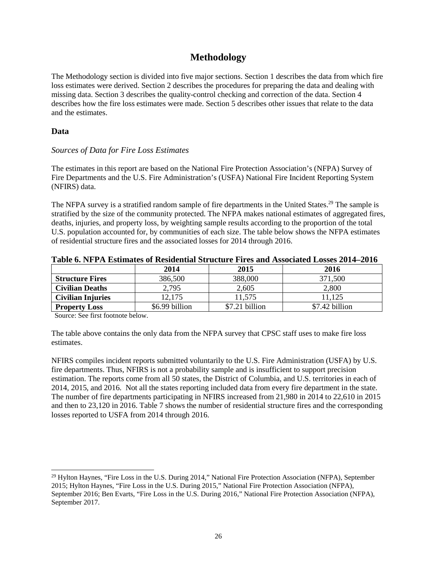# **Methodology**

The Methodology section is divided into five major sections. Section 1 describes the data from which fire loss estimates were derived. Section 2 describes the procedures for preparing the data and dealing with missing data. Section 3 describes the quality-control checking and correction of the data. Section 4 describes how the fire loss estimates were made. Section 5 describes other issues that relate to the data and the estimates.

#### **Data**

#### *Sources of Data for Fire Loss Estimates*

The estimates in this report are based on the National Fire Protection Association's (NFPA) Survey of Fire Departments and the U.S. Fire Administration's (USFA) National Fire Incident Reporting System (NFIRS) data.

The NFPA survey is a stratified random sample of fire departments in the United States.<sup>29</sup> The sample is stratified by the size of the community protected. The NFPA makes national estimates of aggregated fires, deaths, injuries, and property loss, by weighting sample results according to the proportion of the total U.S. population accounted for, by communities of each size. The table below shows the NFPA estimates of residential structure fires and the associated losses for 2014 through 2016.

|                          | 2014           | 2015           | 2016           |  |  |  |
|--------------------------|----------------|----------------|----------------|--|--|--|
| <b>Structure Fires</b>   | 386,500        | 388,000        | 371,500        |  |  |  |
| <b>Civilian Deaths</b>   | 2,795          | 2,605          | 2,800          |  |  |  |
| <b>Civilian Injuries</b> | 12,175         | 11,575         | 11,125         |  |  |  |
| <b>Property Loss</b>     | \$6.99 billion | \$7.21 billion | \$7.42 billion |  |  |  |

#### **Table 6. NFPA Estimates of Residential Structure Fires and Associated Losses 2014–2016**

Source: See first footnote below.

The table above contains the only data from the NFPA survey that CPSC staff uses to make fire loss estimates.

NFIRS compiles incident reports submitted voluntarily to the U.S. Fire Administration (USFA) by U.S. fire departments. Thus, NFIRS is not a probability sample and is insufficient to support precision estimation. The reports come from all 50 states, the District of Columbia, and U.S. territories in each of 2014, 2015, and 2016. Not all the states reporting included data from every fire department in the state. The number of fire departments participating in NFIRS increased from 21,980 in 2014 to 22,610 in 2015 and then to 23,120 in 2016. Table 7 shows the number of residential structure fires and the corresponding losses reported to USFA from 2014 through 2016.

<sup>&</sup>lt;sup>29</sup> Hylton Haynes, "Fire Loss in the U.S. During 2014," National Fire Protection Association (NFPA), September 2015; Hylton Haynes, "Fire Loss in the U.S. During 2015," National Fire Protection Association (NFPA), September 2016; Ben Evarts, "Fire Loss in the U.S. During 2016," National Fire Protection Association (NFPA), September 2017.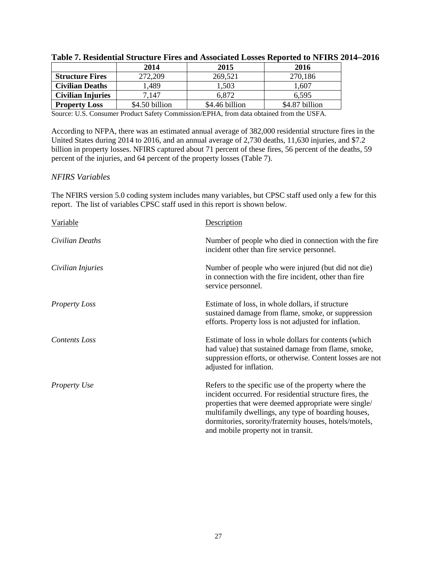|                          | 2014           | 2015           | 2016           |
|--------------------------|----------------|----------------|----------------|
| <b>Structure Fires</b>   | 272,209        | 269,521        | 270,186        |
| <b>Civilian Deaths</b>   | ,489           | 1.503          | 1,607          |
| <b>Civilian Injuries</b> | 7.147          | 6.872          | 6,595          |
| <b>Property Loss</b>     | \$4.50 billion | \$4.46 billion | \$4.87 billion |

Source: U.S. Consumer Product Safety Commission/EPHA, from data obtained from the USFA.

According to NFPA, there was an estimated annual average of 382,000 residential structure fires in the United States during 2014 to 2016, and an annual average of 2,730 deaths, 11,630 injuries, and \$7.2 billion in property losses. NFIRS captured about 71 percent of these fires, 56 percent of the deaths, 59 percent of the injuries, and 64 percent of the property losses (Table 7).

#### *NFIRS Variables*

The NFIRS version 5.0 coding system includes many variables, but CPSC staff used only a few for this report. The list of variables CPSC staff used in this report is shown below.

| Variable             | Description                                                                                                                                                                                                                                                                                                                      |
|----------------------|----------------------------------------------------------------------------------------------------------------------------------------------------------------------------------------------------------------------------------------------------------------------------------------------------------------------------------|
| Civilian Deaths      | Number of people who died in connection with the fire<br>incident other than fire service personnel.                                                                                                                                                                                                                             |
| Civilian Injuries    | Number of people who were injured (but did not die)<br>in connection with the fire incident, other than fire<br>service personnel.                                                                                                                                                                                               |
| <b>Property Loss</b> | Estimate of loss, in whole dollars, if structure<br>sustained damage from flame, smoke, or suppression<br>efforts. Property loss is not adjusted for inflation.                                                                                                                                                                  |
| Contents Loss        | Estimate of loss in whole dollars for contents (which<br>had value) that sustained damage from flame, smoke,<br>suppression efforts, or otherwise. Content losses are not<br>adjusted for inflation.                                                                                                                             |
| <b>Property Use</b>  | Refers to the specific use of the property where the<br>incident occurred. For residential structure fires, the<br>properties that were deemed appropriate were single/<br>multifamily dwellings, any type of boarding houses,<br>dormitories, sorority/fraternity houses, hotels/motels,<br>and mobile property not in transit. |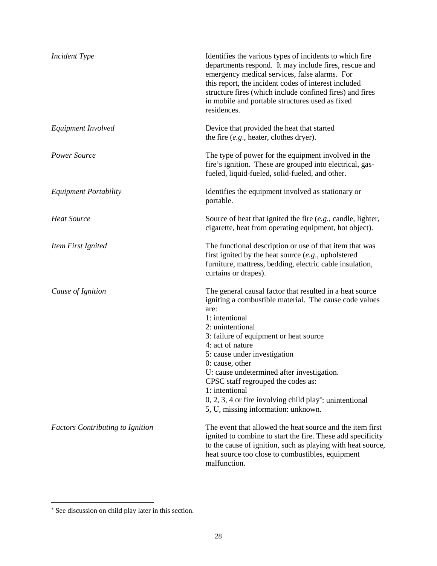| <b>Incident Type</b>                    | Identifies the various types of incidents to which fire<br>departments respond. It may include fires, rescue and<br>emergency medical services, false alarms. For<br>this report, the incident codes of interest included<br>structure fires (which include confined fires) and fires<br>in mobile and portable structures used as fixed<br>residences.                                                                                                                                                     |
|-----------------------------------------|-------------------------------------------------------------------------------------------------------------------------------------------------------------------------------------------------------------------------------------------------------------------------------------------------------------------------------------------------------------------------------------------------------------------------------------------------------------------------------------------------------------|
| Equipment Involved                      | Device that provided the heat that started<br>the fire $(e.g.,)$ heater, clothes dryer).                                                                                                                                                                                                                                                                                                                                                                                                                    |
| Power Source                            | The type of power for the equipment involved in the<br>fire's ignition. These are grouped into electrical, gas-<br>fueled, liquid-fueled, solid-fueled, and other.                                                                                                                                                                                                                                                                                                                                          |
| <b>Equipment Portability</b>            | Identifies the equipment involved as stationary or<br>portable.                                                                                                                                                                                                                                                                                                                                                                                                                                             |
| <b>Heat Source</b>                      | Source of heat that ignited the fire $(e.g.,$ candle, lighter,<br>cigarette, heat from operating equipment, hot object).                                                                                                                                                                                                                                                                                                                                                                                    |
| Item First Ignited                      | The functional description or use of that item that was<br>first ignited by the heat source $(e.g.,$ upholstered<br>furniture, mattress, bedding, electric cable insulation,<br>curtains or drapes).                                                                                                                                                                                                                                                                                                        |
| Cause of Ignition                       | The general causal factor that resulted in a heat source<br>igniting a combustible material. The cause code values<br>are:<br>1: intentional<br>2: unintentional<br>3: failure of equipment or heat source<br>4: act of nature<br>5: cause under investigation<br>$0: \text{cause}, \text{other}$<br>U: cause undetermined after investigation.<br>CPSC staff regrouped the codes as:<br>1: intentional<br>$0, 2, 3, 4$ or fire involving child play*: unintentional<br>5, U, missing information: unknown. |
| <b>Factors Contributing to Ignition</b> | The event that allowed the heat source and the item first<br>ignited to combine to start the fire. These add specificity<br>to the cause of ignition, such as playing with heat source,<br>heat source too close to combustibles, equipment<br>malfunction.                                                                                                                                                                                                                                                 |

 $\overline{a}$ 

<sup>∗</sup> See discussion on child play later in this section.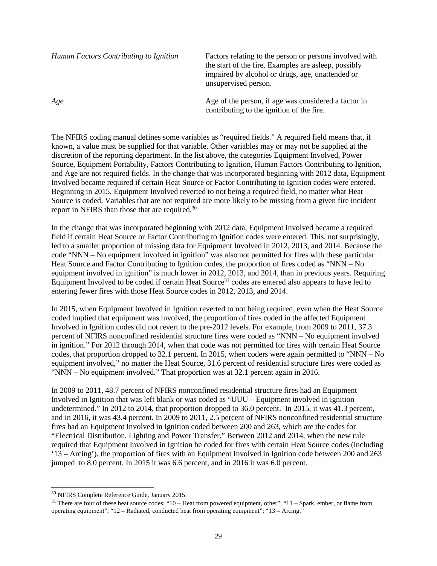| Human Factors Contributing to Ignition | Factors relating to the person or persons involved with<br>the start of the fire. Examples are asleep, possibly<br>impaired by alcohol or drugs, age, unattended or<br>unsupervised person. |  |
|----------------------------------------|---------------------------------------------------------------------------------------------------------------------------------------------------------------------------------------------|--|
| Age                                    | Age of the person, if age was considered a factor in<br>contributing to the ignition of the fire.                                                                                           |  |

The NFIRS coding manual defines some variables as "required fields." A required field means that, if known, a value must be supplied for that variable. Other variables may or may not be supplied at the discretion of the reporting department. In the list above, the categories Equipment Involved, Power Source, Equipment Portability, Factors Contributing to Ignition, Human Factors Contributing to Ignition, and Age are not required fields. In the change that was incorporated beginning with 2012 data, Equipment Involved became required if certain Heat Source or Factor Contributing to Ignition codes were entered. Beginning in 2015, Equipment Involved reverted to not being a required field, no matter what Heat Source is coded. Variables that are not required are more likely to be missing from a given fire incident report in NFIRS than those that are required.<sup>30</sup>

In the change that was incorporated beginning with 2012 data, Equipment Involved became a required field if certain Heat Source or Factor Contributing to Ignition codes were entered. This, not surprisingly, led to a smaller proportion of missing data for Equipment Involved in 2012, 2013, and 2014. Because the code "NNN – No equipment involved in ignition" was also not permitted for fires with these particular Heat Source and Factor Contributing to Ignition codes, the proportion of fires coded as "NNN – No equipment involved in ignition" is much lower in 2012, 2013, and 2014, than in previous years. Requiring Equipment Involved to be coded if certain Heat Source $31$  codes are entered also appears to have led to entering fewer fires with those Heat Source codes in 2012, 2013, and 2014.

In 2015, when Equipment Involved in Ignition reverted to not being required, even when the Heat Source coded implied that equipment was involved, the proportion of fires coded in the affected Equipment Involved in Ignition codes did not revert to the pre-2012 levels. For example, from 2009 to 2011, 37.3 percent of NFIRS nonconfined residential structure fires were coded as "NNN – No equipment involved in ignition." For 2012 through 2014, when that code was not permitted for fires with certain Heat Source codes, that proportion dropped to 32.1 percent. In 2015, when coders were again permitted to "NNN – No equipment involved," no matter the Heat Source, 31.6 percent of residential structure fires were coded as "NNN – No equipment involved." That proportion was at 32.1 percent again in 2016.

In 2009 to 2011, 48.7 percent of NFIRS nonconfined residential structure fires had an Equipment Involved in Ignition that was left blank or was coded as "UUU – Equipment involved in ignition undetermined." In 2012 to 2014, that proportion dropped to 36.0 percent. In 2015, it was 41.3 percent, and in 2016, it was 43.4 percent. In 2009 to 2011, 2.5 percent of NFIRS nonconfined residential structure fires had an Equipment Involved in Ignition coded between 200 and 263, which are the codes for "Electrical Distribution, Lighting and Power Transfer." Between 2012 and 2014, when the new rule required that Equipment Involved in Ignition be coded for fires with certain Heat Source codes (including '13 – Arcing'), the proportion of fires with an Equipment Involved in Ignition code between 200 and 263 jumped to 8.0 percent. In 2015 it was 6.6 percent, and in 2016 it was 6.0 percent.

 <sup>30</sup> NFIRS Complete Reference Guide, January 2015.

<sup>31</sup> There are four of these heat source codes: "10 – Heat from powered equipment, other"; "11 – Spark, ember, or flame from operating equipment"; "12 – Radiated, conducted heat from operating equipment"; "13 – Arcing."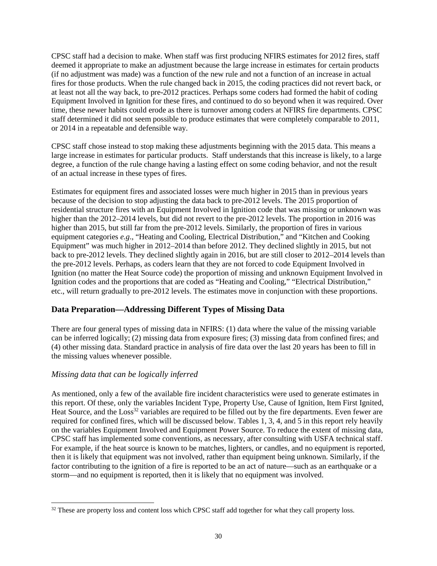CPSC staff had a decision to make. When staff was first producing NFIRS estimates for 2012 fires, staff deemed it appropriate to make an adjustment because the large increase in estimates for certain products (if no adjustment was made) was a function of the new rule and not a function of an increase in actual fires for those products. When the rule changed back in 2015, the coding practices did not revert back, or at least not all the way back, to pre-2012 practices. Perhaps some coders had formed the habit of coding Equipment Involved in Ignition for these fires, and continued to do so beyond when it was required. Over time, these newer habits could erode as there is turnover among coders at NFIRS fire departments. CPSC staff determined it did not seem possible to produce estimates that were completely comparable to 2011, or 2014 in a repeatable and defensible way.

CPSC staff chose instead to stop making these adjustments beginning with the 2015 data. This means a large increase in estimates for particular products. Staff understands that this increase is likely, to a large degree, a function of the rule change having a lasting effect on some coding behavior, and not the result of an actual increase in these types of fires.

Estimates for equipment fires and associated losses were much higher in 2015 than in previous years because of the decision to stop adjusting the data back to pre-2012 levels. The 2015 proportion of residential structure fires with an Equipment Involved in Ignition code that was missing or unknown was higher than the 2012–2014 levels, but did not revert to the pre-2012 levels. The proportion in 2016 was higher than 2015, but still far from the pre-2012 levels. Similarly, the proportion of fires in various equipment categories *e.g*., "Heating and Cooling, Electrical Distribution," and "Kitchen and Cooking Equipment" was much higher in 2012–2014 than before 2012. They declined slightly in 2015, but not back to pre-2012 levels. They declined slightly again in 2016, but are still closer to 2012–2014 levels than the pre-2012 levels. Perhaps, as coders learn that they are not forced to code Equipment Involved in Ignition (no matter the Heat Source code) the proportion of missing and unknown Equipment Involved in Ignition codes and the proportions that are coded as "Heating and Cooling," "Electrical Distribution," etc., will return gradually to pre-2012 levels. The estimates move in conjunction with these proportions.

#### **Data Preparation—Addressing Different Types of Missing Data**

There are four general types of missing data in NFIRS: (1) data where the value of the missing variable can be inferred logically; (2) missing data from exposure fires; (3) missing data from confined fires; and (4) other missing data. Standard practice in analysis of fire data over the last 20 years has been to fill in the missing values whenever possible.

#### *Missing data that can be logically inferred*

As mentioned, only a few of the available fire incident characteristics were used to generate estimates in this report. Of these, only the variables Incident Type, Property Use, Cause of Ignition, Item First Ignited, Heat Source, and the Loss<sup>32</sup> variables are required to be filled out by the fire departments. Even fewer are required for confined fires, which will be discussed below. Tables 1, 3, 4, and 5 in this report rely heavily on the variables Equipment Involved and Equipment Power Source. To reduce the extent of missing data, CPSC staff has implemented some conventions, as necessary, after consulting with USFA technical staff. For example, if the heat source is known to be matches, lighters, or candles, and no equipment is reported, then it is likely that equipment was not involved, rather than equipment being unknown. Similarly, if the factor contributing to the ignition of a fire is reported to be an act of nature—such as an earthquake or a storm—and no equipment is reported, then it is likely that no equipment was involved.

<sup>&</sup>lt;sup>32</sup> These are property loss and content loss which CPSC staff add together for what they call property loss.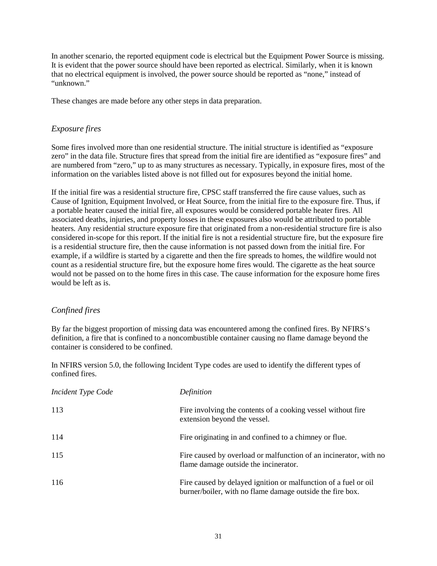In another scenario, the reported equipment code is electrical but the Equipment Power Source is missing. It is evident that the power source should have been reported as electrical. Similarly, when it is known that no electrical equipment is involved, the power source should be reported as "none," instead of "unknown."

These changes are made before any other steps in data preparation.

#### *Exposure fires*

Some fires involved more than one residential structure. The initial structure is identified as "exposure zero" in the data file. Structure fires that spread from the initial fire are identified as "exposure fires" and are numbered from "zero," up to as many structures as necessary. Typically, in exposure fires, most of the information on the variables listed above is not filled out for exposures beyond the initial home.

If the initial fire was a residential structure fire, CPSC staff transferred the fire cause values, such as Cause of Ignition, Equipment Involved, or Heat Source, from the initial fire to the exposure fire. Thus, if a portable heater caused the initial fire, all exposures would be considered portable heater fires. All associated deaths, injuries, and property losses in these exposures also would be attributed to portable heaters. Any residential structure exposure fire that originated from a non-residential structure fire is also considered in-scope for this report. If the initial fire is not a residential structure fire, but the exposure fire is a residential structure fire, then the cause information is not passed down from the initial fire. For example, if a wildfire is started by a cigarette and then the fire spreads to homes, the wildfire would not count as a residential structure fire, but the exposure home fires would. The cigarette as the heat source would not be passed on to the home fires in this case. The cause information for the exposure home fires would be left as is.

#### *Confined fires*

By far the biggest proportion of missing data was encountered among the confined fires. By NFIRS's definition, a fire that is confined to a noncombustible container causing no flame damage beyond the container is considered to be confined.

In NFIRS version 5.0, the following Incident Type codes are used to identify the different types of confined fires.

| Incident Type Code | Definition                                                                                                                   |
|--------------------|------------------------------------------------------------------------------------------------------------------------------|
| 113                | Fire involving the contents of a cooking vessel without fire<br>extension beyond the vessel.                                 |
| 114                | Fire originating in and confined to a chimney or flue.                                                                       |
| 115                | Fire caused by overload or malfunction of an incinerator, with no<br>flame damage outside the incinerator.                   |
| 116                | Fire caused by delayed ignition or malfunction of a fuel or oil<br>burner/boiler, with no flame damage outside the fire box. |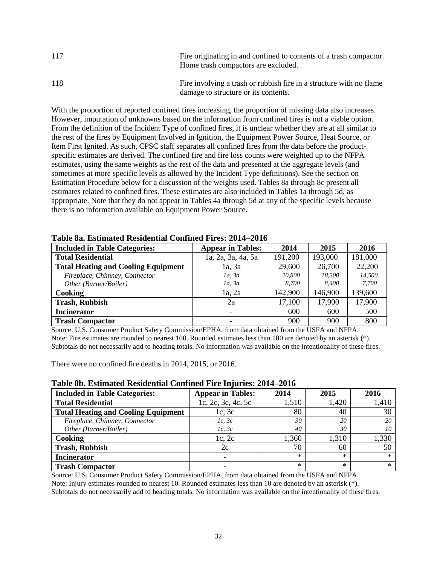| 117 | Fire originating in and confined to contents of a trash compactor.<br>Home trash compactors are excluded.   |
|-----|-------------------------------------------------------------------------------------------------------------|
| 118 | Fire involving a trash or rubbish fire in a structure with no flame<br>damage to structure or its contents. |

With the proportion of reported confined fires increasing, the proportion of missing data also increases. However, imputation of unknowns based on the information from confined fires is not a viable option. From the definition of the Incident Type of confined fires, it is unclear whether they are at all similar to the rest of the fires by Equipment Involved in Ignition, the Equipment Power Source, Heat Source, or Item First Ignited. As such, CPSC staff separates all confined fires from the data before the productspecific estimates are derived. The confined fire and fire loss counts were weighted up to the NFPA estimates, using the same weights as the rest of the data and presented at the aggregate levels (and sometimes at more specific levels as allowed by the Incident Type definitions). See the section on Estimation Procedure below for a discussion of the weights used. Tables 8a through 8c present all estimates related to confined fires. These estimates are also included in Tables 1a through 5d, as appropriate. Note that they do not appear in Tables 4a through 5d at any of the specific levels because there is no information available on Equipment Power Source.

| <b>Included in Table Categories:</b>       | <b>Appear in Tables:</b> | 2014    | 2015    | 2016    |
|--------------------------------------------|--------------------------|---------|---------|---------|
| <b>Total Residential</b>                   | 1a, 2a, 3a, 4a, 5a       | 191,200 | 193,000 | 181,000 |
| <b>Total Heating and Cooling Equipment</b> | 1a, 3a                   | 29,600  | 26,700  | 22,200  |
| Fireplace, Chimney, Connector              | 1a, 3a                   | 20,800  | 18.300  | 14.500  |
| Other (Burner/Boiler)                      | 1a, 3a                   | 8,700   | 8.400   | 7,700   |
| Cooking                                    | 1a, 2a                   | 142,900 | 146,900 | 139,600 |
| <b>Trash, Rubbish</b>                      | 2a                       | 17,100  | 17,900  | 17,900  |
| <b>Incinerator</b>                         |                          | 600     | 600     | 500     |
| <b>Trash Compactor</b>                     |                          | 900     | 900     | 800     |

**Table 8a. Estimated Residential Confined Fires: 2014–2016**

Source: U.S. Consumer Product Safety Commission/EPHA, from data obtained from the USFA and NFPA. Note: Fire estimates are rounded to nearest 100. Rounded estimates less than 100 are denoted by an asterisk  $(*)$ . Subtotals do not necessarily add to heading totals. No information was available on the intentionality of these fires.

There were no confined fire deaths in 2014, 2015, or 2016.

| TWOIC ON, EDUIMINUM TWOIGUNG COMMIQUE TH'U THIMITED, WOT'L WOTO |                          |        |        |        |  |
|-----------------------------------------------------------------|--------------------------|--------|--------|--------|--|
| <b>Included in Table Categories:</b>                            | <b>Appear in Tables:</b> | 2014   | 2015   | 2016   |  |
| <b>Total Residential</b>                                        | 1c, 2c, 3c, 4c, 5c       | 1,510  | 1,420  | 1,410  |  |
| <b>Total Heating and Cooling Equipment</b>                      | 1c, 3c                   | 80     | 40     | 30     |  |
| Fireplace, Chimney, Connector                                   | 1c, 3c                   | 30     | 20     | 20     |  |
| Other (Burner/Boiler)                                           | 1c, 3c                   | 40     | 30     | 10     |  |
| Cooking                                                         | 1c, 2c                   | 1,360  | 1,310  | 1,330  |  |
| <b>Trash, Rubbish</b>                                           | 2c                       | 70     | 60     | 50     |  |
| <b>Incinerator</b>                                              |                          | $*$    | $\ast$ | $\ast$ |  |
| <b>Trash Compactor</b>                                          |                          | $\ast$ | $\ast$ | $*$    |  |

#### **Table 8b. Estimated Residential Confined Fire Injuries: 2014–2016**

Source: U.S. Consumer Product Safety Commission/EPHA, from data obtained from the USFA and NFPA.

Note: Injury estimates rounded to nearest 10. Rounded estimates less than 10 are denoted by an asterisk (\*).

Subtotals do not necessarily add to heading totals. No information was available on the intentionality of these fires.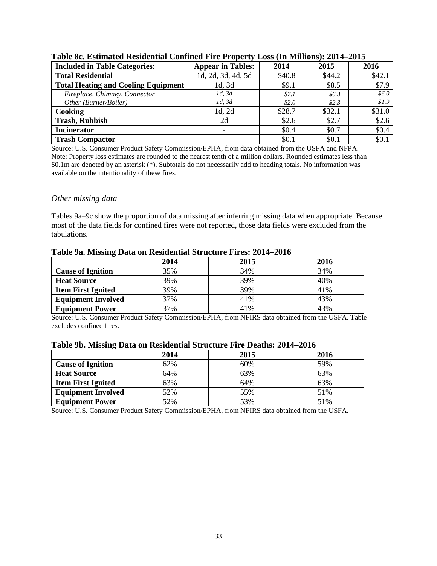| $\sim$ . And $\sim$ . And $\sim$ . And $\sim$ . And $\sim$ . And $\sim$ . And $\sim$ . And $\sim$ . And $\sim$ . And $\sim$ . And $\sim$ . |                          |        |         |         |
|--------------------------------------------------------------------------------------------------------------------------------------------|--------------------------|--------|---------|---------|
| <b>Included in Table Categories:</b>                                                                                                       | <b>Appear in Tables:</b> | 2014   | 2015    | 2016    |
| <b>Total Residential</b>                                                                                                                   | 1d, 2d, 3d, 4d, 5d       | \$40.8 | \$44.2  | \$42.1  |
| <b>Total Heating and Cooling Equipment</b>                                                                                                 | 1d, 3d                   | \$9.1  | \$8.5   | \$7.9   |
| Fireplace, Chimney, Connector                                                                                                              | 1d, 3d                   | \$7.1  | \$6.3\$ | \$6.0\$ |
| Other (Burner/Boiler)                                                                                                                      | 1d, 3d                   | \$2.0  | \$2.3\$ | \$1.9   |
| Cooking                                                                                                                                    | 1d, 2d                   | \$28.7 | \$32.1  | \$31.0  |
| <b>Trash, Rubbish</b>                                                                                                                      | 2d                       | \$2.6  | \$2.7   | \$2.6   |
| <b>Incinerator</b>                                                                                                                         |                          | \$0.4  | \$0.7   | \$0.4\$ |
| <b>Trash Compactor</b>                                                                                                                     |                          | \$0.1  | \$0.1   | \$0.1   |

#### **Table 8c. Estimated Residential Confined Fire Property Loss (In Millions): 2014–2015**

Source: U.S. Consumer Product Safety Commission/EPHA, from data obtained from the USFA and NFPA. Note: Property loss estimates are rounded to the nearest tenth of a million dollars. Rounded estimates less than \$0.1m are denoted by an asterisk (\*). Subtotals do not necessarily add to heading totals. No information was available on the intentionality of these fires.

#### *Other missing data*

Tables 9a–9c show the proportion of data missing after inferring missing data when appropriate. Because most of the data fields for confined fires were not reported, those data fields were excluded from the tabulations.

|                           | 2014 | 2015 | 2016 |  |
|---------------------------|------|------|------|--|
| <b>Cause of Ignition</b>  | 35%  | 34%  | 34%  |  |
| <b>Heat Source</b>        | 39%  | 39%  | 40%  |  |
| <b>Item First Ignited</b> | 39%  | 39%  | 41%  |  |
| <b>Equipment Involved</b> | 37%  | 41%  | 43%  |  |
| <b>Equipment Power</b>    | 37%  | 41%  | 43%  |  |

#### **Table 9a. Missing Data on Residential Structure Fires: 2014–2016**

Source: U.S. Consumer Product Safety Commission/EPHA, from NFIRS data obtained from the USFA. Table excludes confined fires.

| o                         | 2014 | 2015 | 2016 |
|---------------------------|------|------|------|
| <b>Cause of Ignition</b>  | 62%  | 60%  | 59%  |
| <b>Heat Source</b>        | 64%  | 63%  | 63%  |
| <b>Item First Ignited</b> | 63%  | 64%  | 63%  |
| <b>Equipment Involved</b> | 52%  | 55%  | 51%  |
| <b>Equipment Power</b>    | 52%  | 53%  | 51%  |

Source: U.S. Consumer Product Safety Commission/EPHA, from NFIRS data obtained from the USFA.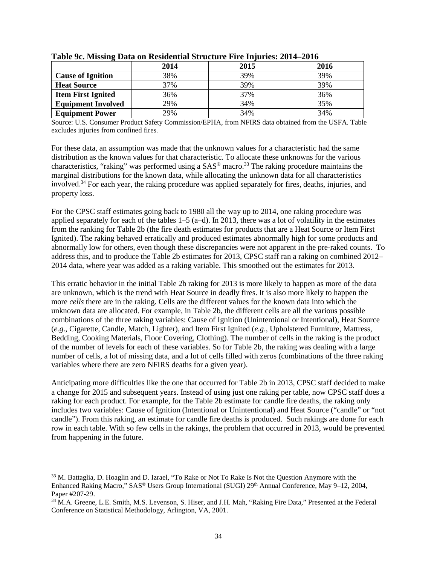|                           | 2014 | 2015 | 2016 |
|---------------------------|------|------|------|
| <b>Cause of Ignition</b>  | 38%  | 39%  | 39%  |
| <b>Heat Source</b>        | 37%  | 39%  | 39%  |
| <b>Item First Ignited</b> | 36%  | 37%  | 36%  |
| <b>Equipment Involved</b> | 29%  | 34%  | 35%  |
| <b>Equipment Power</b>    | 29%  | 34%  | 34%  |

**Table 9c. Missing Data on Residential Structure Fire Injuries: 2014–2016**

Source: U.S. Consumer Product Safety Commission/EPHA, from NFIRS data obtained from the USFA. Table excludes injuries from confined fires.

For these data, an assumption was made that the unknown values for a characteristic had the same distribution as the known values for that characteristic. To allocate these unknowns for the various characteristics, "raking" was performed using a SAS® macro. <sup>33</sup> The raking procedure maintains the marginal distributions for the known data, while allocating the unknown data for all characteristics involved.<sup>34</sup> For each year, the raking procedure was applied separately for fires, deaths, injuries, and property loss.

For the CPSC staff estimates going back to 1980 all the way up to 2014, one raking procedure was applied separately for each of the tables 1–5 (a–d). In 2013, there was a lot of volatility in the estimates from the ranking for Table 2b (the fire death estimates for products that are a Heat Source or Item First Ignited). The raking behaved erratically and produced estimates abnormally high for some products and abnormally low for others, even though these discrepancies were not apparent in the pre-raked counts. To address this, and to produce the Table 2b estimates for 2013, CPSC staff ran a raking on combined 2012– 2014 data, where year was added as a raking variable. This smoothed out the estimates for 2013.

This erratic behavior in the initial Table 2b raking for 2013 is more likely to happen as more of the data are unknown, which is the trend with Heat Source in deadly fires. It is also more likely to happen the more *cells* there are in the raking. Cells are the different values for the known data into which the unknown data are allocated. For example, in Table 2b, the different cells are all the various possible combinations of the three raking variables: Cause of Ignition (Unintentional or Intentional), Heat Source (*e.g*., Cigarette, Candle, Match, Lighter), and Item First Ignited (*e.g*., Upholstered Furniture, Mattress, Bedding, Cooking Materials, Floor Covering, Clothing). The number of cells in the raking is the product of the number of levels for each of these variables. So for Table 2b, the raking was dealing with a large number of cells, a lot of missing data, and a lot of cells filled with zeros (combinations of the three raking variables where there are zero NFIRS deaths for a given year).

Anticipating more difficulties like the one that occurred for Table 2b in 2013, CPSC staff decided to make a change for 2015 and subsequent years. Instead of using just one raking per table, now CPSC staff does a raking for each product. For example, for the Table 2b estimate for candle fire deaths, the raking only includes two variables: Cause of Ignition (Intentional or Unintentional) and Heat Source ("candle" or "not candle"). From this raking, an estimate for candle fire deaths is produced. Such rakings are done for each row in each table. With so few cells in the rakings, the problem that occurred in 2013, would be prevented from happening in the future.

 <sup>33</sup> M. Battaglia, D. Hoaglin and D. Izrael, "To Rake or Not To Rake Is Not the Question Anymore with the Enhanced Raking Macro," SAS® Users Group International (SUGI) 29<sup>th</sup> Annual Conference, May 9–12, 2004, Paper #207-29.

<sup>&</sup>lt;sup>34</sup> M.A. Greene, L.E. Smith, M.S. Levenson, S. Hiser, and J.H. Mah, "Raking Fire Data," Presented at the Federal Conference on Statistical Methodology, Arlington, VA, 2001.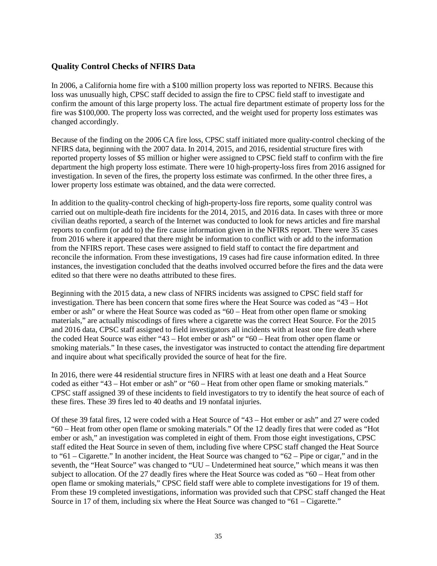#### **Quality Control Checks of NFIRS Data**

In 2006, a California home fire with a \$100 million property loss was reported to NFIRS. Because this loss was unusually high, CPSC staff decided to assign the fire to CPSC field staff to investigate and confirm the amount of this large property loss. The actual fire department estimate of property loss for the fire was \$100,000. The property loss was corrected, and the weight used for property loss estimates was changed accordingly.

Because of the finding on the 2006 CA fire loss, CPSC staff initiated more quality-control checking of the NFIRS data, beginning with the 2007 data. In 2014, 2015, and 2016, residential structure fires with reported property losses of \$5 million or higher were assigned to CPSC field staff to confirm with the fire department the high property loss estimate. There were 10 high-property-loss fires from 2016 assigned for investigation. In seven of the fires, the property loss estimate was confirmed. In the other three fires, a lower property loss estimate was obtained, and the data were corrected.

In addition to the quality-control checking of high-property-loss fire reports, some quality control was carried out on multiple-death fire incidents for the 2014, 2015, and 2016 data. In cases with three or more civilian deaths reported, a search of the Internet was conducted to look for news articles and fire marshal reports to confirm (or add to) the fire cause information given in the NFIRS report. There were 35 cases from 2016 where it appeared that there might be information to conflict with or add to the information from the NFIRS report. These cases were assigned to field staff to contact the fire department and reconcile the information. From these investigations, 19 cases had fire cause information edited. In three instances, the investigation concluded that the deaths involved occurred before the fires and the data were edited so that there were no deaths attributed to these fires.

Beginning with the 2015 data, a new class of NFIRS incidents was assigned to CPSC field staff for investigation. There has been concern that some fires where the Heat Source was coded as "43 – Hot ember or ash" or where the Heat Source was coded as "60 – Heat from other open flame or smoking materials," are actually miscodings of fires where a cigarette was the correct Heat Source. For the 2015 and 2016 data, CPSC staff assigned to field investigators all incidents with at least one fire death where the coded Heat Source was either "43 – Hot ember or ash" or "60 – Heat from other open flame or smoking materials." In these cases, the investigator was instructed to contact the attending fire department and inquire about what specifically provided the source of heat for the fire.

In 2016, there were 44 residential structure fires in NFIRS with at least one death and a Heat Source coded as either "43 – Hot ember or ash" or "60 – Heat from other open flame or smoking materials." CPSC staff assigned 39 of these incidents to field investigators to try to identify the heat source of each of these fires. These 39 fires led to 40 deaths and 19 nonfatal injuries.

Of these 39 fatal fires, 12 were coded with a Heat Source of "43 – Hot ember or ash" and 27 were coded "60 – Heat from other open flame or smoking materials." Of the 12 deadly fires that were coded as "Hot ember or ash," an investigation was completed in eight of them. From those eight investigations, CPSC staff edited the Heat Source in seven of them, including five where CPSC staff changed the Heat Source to "61 – Cigarette." In another incident, the Heat Source was changed to "62 – Pipe or cigar," and in the seventh, the "Heat Source" was changed to "UU – Undetermined heat source," which means it was then subject to allocation. Of the 27 deadly fires where the Heat Source was coded as "60 – Heat from other open flame or smoking materials," CPSC field staff were able to complete investigations for 19 of them. From these 19 completed investigations, information was provided such that CPSC staff changed the Heat Source in 17 of them, including six where the Heat Source was changed to "61 – Cigarette."